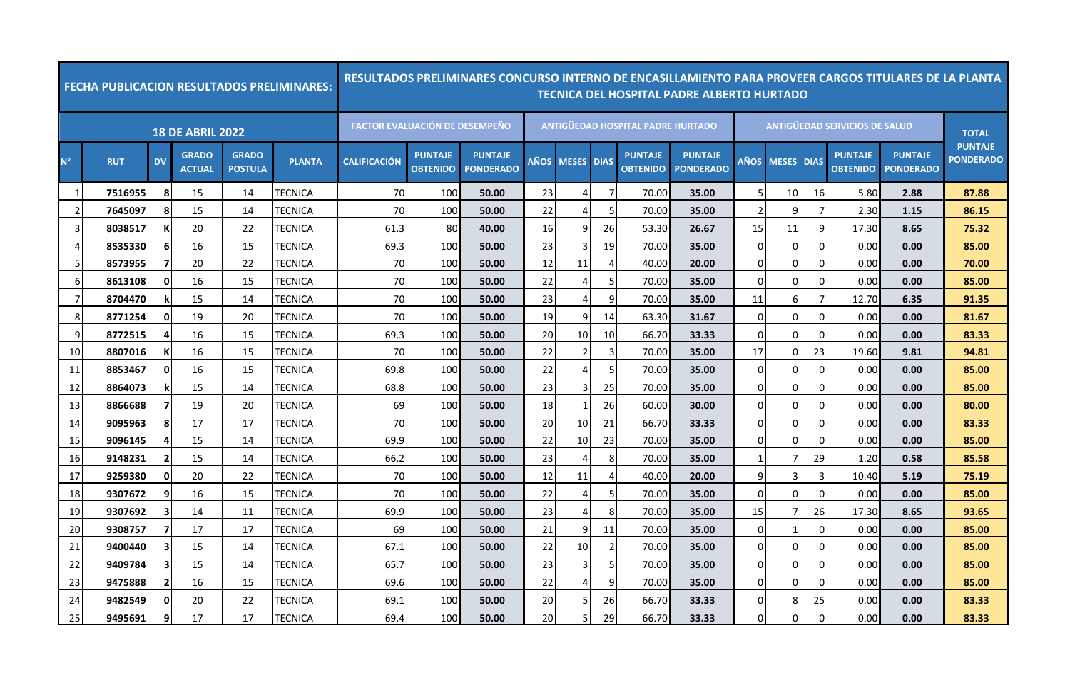|             |            |                |                               |                                | <b>FECHA PUBLICACION RESULTADOS PRELIMINARES:</b> |                                       |                                   | <u>RESULTADOS PRELIMINARES CONCURSO INTERNO DE ENCASILLAMIENTO PARA PROVEER CARGOS TITULARES DE LA PLANTA</u> |      |                |                |                                   | <b>TECNICA DEL HOSPITAL PADRE ALBERTO HURTADO</b> |             |              |                |                                      |                                    |                                    |
|-------------|------------|----------------|-------------------------------|--------------------------------|---------------------------------------------------|---------------------------------------|-----------------------------------|---------------------------------------------------------------------------------------------------------------|------|----------------|----------------|-----------------------------------|---------------------------------------------------|-------------|--------------|----------------|--------------------------------------|------------------------------------|------------------------------------|
|             |            |                | <b>18 DE ABRIL 2022</b>       |                                |                                                   | <b>FACTOR EVALUACIÓN DE DESEMPEÑO</b> |                                   |                                                                                                               |      |                |                | ANTIGÜEDAD HOSPITAL PADRE HURTADO |                                                   |             |              |                | <b>ANTIGÜEDAD SERVICIOS DE SALUD</b> |                                    | <b>TOTAL</b>                       |
| $N^{\circ}$ | <b>RUT</b> | <b>DV</b>      | <b>GRADO</b><br><b>ACTUAL</b> | <b>GRADO</b><br><b>POSTULA</b> | <b>PLANTA</b>                                     | <b>CALIFICACIÓN</b>                   | <b>PUNTAJE</b><br><b>OBTENIDO</b> | <b>PUNTAJE</b><br><b>PONDERADO</b>                                                                            | AÑOS | <b>MESES</b>   | <b>DIAS</b>    | <b>PUNTAJE</b><br><b>OBTENIDO</b> | <b>PUNTAJE</b><br><b>PONDERADO</b>                | AÑOS        | <b>MESES</b> | <b>DIAS</b>    | <b>PUNTAJE</b><br><b>OBTENIDO</b>    | <b>PUNTAJE</b><br><b>PONDERADO</b> | <b>PUNTAJE</b><br><b>PONDERADO</b> |
| - 1         | 7516955    | 8              | 15                            | 14                             | TECNICA                                           | 70                                    | 100                               | 50.00                                                                                                         | 23   | 4              | 7              | 70.00                             | 35.00                                             |             | 10           | 16             | 5.80                                 | 2.88                               | 87.88                              |
| 2           | 7645097    | 8              | 15                            | 14                             | TECNICA                                           | 70                                    | 100                               | 50.00                                                                                                         | 22   | 4              | -5             | 70.00                             | 35.00                                             |             | 9            | 7              | 2.30                                 | 1.15                               | 86.15                              |
| 3           | 8038517    | К              | 20                            | 22                             | TECNICA                                           | 61.3                                  | 80                                | 40.00                                                                                                         | 16   | 9              | 26             | 53.30                             | 26.67                                             | 15          | 11           | 9              | 17.30                                | 8.65                               | 75.32                              |
| Δ           | 8535330    | 6              | 16                            | 15                             | TECNICA                                           | 69.3                                  | 100                               | 50.00                                                                                                         | 23   | 3              | 19             | 70.00                             | 35.00                                             | $\Omega$    | 0            | $\Omega$       | 0.00                                 | 0.00                               | 85.00                              |
| 5           | 8573955    | -7             | 20                            | 22                             | TECNICA                                           | 70                                    | 100                               | 50.00                                                                                                         | 12   | 11             | $\Delta$       | 40.00                             | 20.00                                             | $\Omega$    | 0            | $\mathbf 0$    | 0.00                                 | 0.00                               | 70.00                              |
| 6           | 8613108    | $\mathbf{0}$   | 16                            | 15                             | TECNICA                                           | 70                                    | 100                               | 50.00                                                                                                         | 22   | $\overline{4}$ | 5              | 70.00                             | 35.00                                             | $\Omega$    | $\Omega$     | $\Omega$       | 0.00                                 | 0.00                               | 85.00                              |
|             | 8704470    |                | 15                            | 14                             | TECNICA                                           | 70                                    | 100                               | 50.00                                                                                                         | 23   | 4              | 9              | 70.00                             | 35.00                                             | 11          | 6            | 7              | 12.70                                | 6.35                               | 91.35                              |
| 8           | 8771254    | 0              | 19                            | 20                             | TECNICA                                           | 70                                    | 100                               | 50.00                                                                                                         | 19   | 9              | 14             | 63.30                             | 31.67                                             | $\Omega$    | 0            | $\overline{0}$ | 0.00                                 | 0.00                               | 81.67                              |
| 9           | 8772515    |                | 16                            | 15                             | TECNICA                                           | 69.3                                  | 100                               | 50.00                                                                                                         | 20   | 10             | 10             | 66.70                             | 33.33                                             | $\Omega$    | 0            | $\Omega$       | 0.00                                 | 0.00                               | 83.33                              |
| 10          | 8807016    | К              | 16                            | 15                             | TECNICA                                           | 70                                    | 100                               | 50.00                                                                                                         | 22   | $\overline{2}$ | $\overline{3}$ | 70.00                             | 35.00                                             | 17          | 0            | 23             | 19.60                                | 9.81                               | 94.81                              |
| 11          | 8853467    | $\mathbf{0}$   | 16                            | 15                             | TECNICA                                           | 69.8                                  | 100                               | 50.00                                                                                                         | 22   | 4              | -5             | 70.00                             | 35.00                                             | $\mathbf 0$ | 0            | $\overline{0}$ | 0.00                                 | 0.00                               | 85.00                              |
| 12          | 8864073    |                | 15                            | 14                             | TECNICA                                           | 68.8                                  | 100                               | 50.00                                                                                                         | 23   | 3              | 25             | 70.00                             | 35.00                                             | $\Omega$    | 0            | $\mathbf 0$    | 0.00                                 | 0.00                               | 85.00                              |
| 13          | 8866688    | 7              | 19                            | 20                             | TECNICA                                           | 69                                    | 100                               | 50.00                                                                                                         | 18   | 1              | 26             | 60.00                             | 30.00                                             | $\Omega$    | 0            | $\overline{0}$ | 0.00                                 | 0.00                               | 80.00                              |
| 14          | 9095963    | 8              | 17                            | 17                             | TECNICA                                           | 70                                    | 100                               | 50.00                                                                                                         | 20   | 10             | 21             | 66.70                             | 33.33                                             | $\mathbf 0$ | 0            | $\overline{0}$ | 0.00                                 | 0.00                               | 83.33                              |
| 15          | 9096145    |                | 15                            | 14                             | TECNICA                                           | 69.9                                  | 100                               | 50.00                                                                                                         | 22   | 10             | 23             | 70.00                             | 35.00                                             | O           | $\Omega$     | $\Omega$       | 0.00                                 | 0.00                               | 85.00                              |
| 16          | 9148231    | $\overline{2}$ | 15                            | 14                             | TECNICA                                           | 66.2                                  | 100                               | 50.00                                                                                                         | 23   | $\overline{4}$ | 8              | 70.00                             | 35.00                                             | -1          | 7            | 29             | 1.20                                 | 0.58                               | 85.58                              |
| 17          | 9259380    | $\mathbf{0}$   | 20                            | 22                             | TECNICA                                           | 70                                    | 100                               | 50.00                                                                                                         | 12   | 11             | 4              | 40.00                             | 20.00                                             | 9           | 3            | 3              | 10.40                                | 5.19                               | 75.19                              |
| 18          | 9307672    | q              | 16                            | 15                             | TECNICA                                           | 70                                    | 100                               | 50.00                                                                                                         | 22   | $\overline{4}$ | 5              | 70.00                             | 35.00                                             | $\mathbf 0$ | 0            | $\mathbf 0$    | 0.00                                 | 0.00                               | 85.00                              |
| 19          | 9307692    | -3             | 14                            | 11                             | TECNICA                                           | 69.9                                  | 100                               | 50.00                                                                                                         | 23   | 4              | 8              | 70.00                             | 35.00                                             | 15          | 7            | 26             | 17.30                                | 8.65                               | 93.65                              |
| 20          | 9308757    | -7             | 17                            | 17                             | TECNICA                                           | 69                                    | 100                               | 50.00                                                                                                         | 21   | 9              | 11             | 70.00                             | 35.00                                             | $\Omega$    | 1            | $\Omega$       | 0.00                                 | 0.00                               | 85.00                              |
| 21          | 9400440    | 3              | 15                            | 14                             | TECNICA                                           | 67.1                                  | 100                               | 50.00                                                                                                         | 22   | 10             | $\overline{2}$ | 70.00                             | 35.00                                             | $\mathbf 0$ | 0            | $\mathbf 0$    | 0.00                                 | 0.00                               | 85.00                              |
| 22          | 9409784    | -3             | 15                            | 14                             | TECNICA                                           | 65.7                                  | 100                               | 50.00                                                                                                         | 23   | 3              | 5              | 70.00                             | 35.00                                             | $\Omega$    | $\Omega$     | $\Omega$       | 0.00                                 | 0.00                               | 85.00                              |
| 23          | 9475888    | -2             | 16                            | 15                             | TECNICA                                           | 69.6                                  | 100                               | 50.00                                                                                                         | 22   | 4              | 9              | 70.00                             | 35.00                                             | $\Omega$    | 0            | $\mathbf 0$    | 0.00                                 | 0.00                               | 85.00                              |
| 24          | 9482549    | 0              | 20                            | 22                             | TECNICA                                           | 69.1                                  | 100                               | 50.00                                                                                                         | 20   | 5              | 26             | 66.70                             | 33.33                                             | $\Omega$    | 8            | 25             | 0.00                                 | 0.00                               | 83.33                              |
| 25          | 9495691    | 9              | 17                            | 17                             | <b>TECNICA</b>                                    | 69.4                                  | 100                               | 50.00                                                                                                         | 20   | 5              | 29             | 66.70                             | 33.33                                             | $\Omega$    | 0            | $\Omega$       | 0.00                                 | 0.00                               | 83.33                              |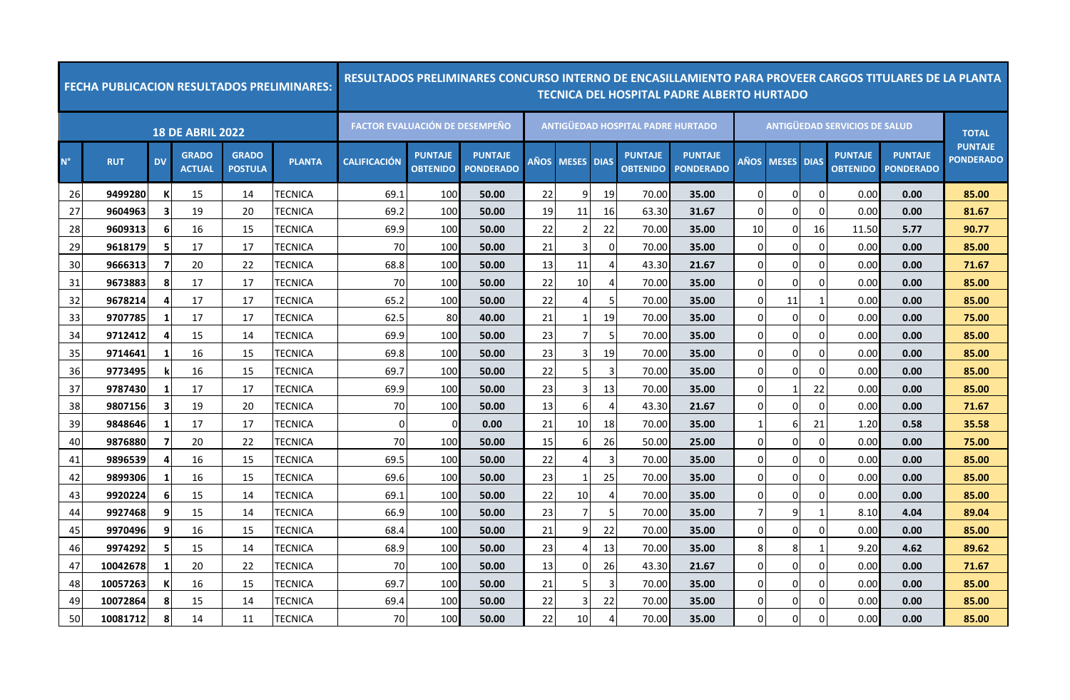|             |            |           |                               |                                | <b>FECHA PUBLICACION RESULTADOS PRELIMINARES:</b> |                                       |                                   | <u>RESULTADOS PRELIMINARES CONCURSO INTERNO DE ENCASILLAMIENTO PARA PROVEER CARGOS TITULARES DE LA PLANTA</u> |             |                |                             |                                          | TECNICA DEL HOSPITAL PADRE ALBERTO HURTADO |                |                   |             |                                      |                                    |                                    |
|-------------|------------|-----------|-------------------------------|--------------------------------|---------------------------------------------------|---------------------------------------|-----------------------------------|---------------------------------------------------------------------------------------------------------------|-------------|----------------|-----------------------------|------------------------------------------|--------------------------------------------|----------------|-------------------|-------------|--------------------------------------|------------------------------------|------------------------------------|
|             |            |           | <b>18 DE ABRIL 2022</b>       |                                |                                                   | <b>FACTOR EVALUACIÓN DE DESEMPEÑO</b> |                                   |                                                                                                               |             |                |                             | <b>ANTIGÜEDAD HOSPITAL PADRE HURTADO</b> |                                            |                |                   |             | <b>ANTIGÜEDAD SERVICIOS DE SALUD</b> |                                    | <b>TOTAL</b>                       |
| $N^{\circ}$ | <b>RUT</b> | <b>DV</b> | <b>GRADO</b><br><b>ACTUAL</b> | <b>GRADO</b><br><b>POSTULA</b> | <b>PLANTA</b>                                     | <b>CALIFICACIÓN</b>                   | <b>PUNTAJE</b><br><b>OBTENIDO</b> | <b>PUNTAJE</b><br><b>PONDERADO</b>                                                                            | <b>AÑOS</b> | <b>MESES</b>   | <b>DIAS</b>                 | <b>PUNTAJE</b><br><b>OBTENIDO</b>        | <b>PUNTAJE</b><br><b>PONDERADO</b>         | AÑOS           | <b>MESES DIAS</b> |             | <b>PUNTAJE</b><br><b>OBTENIDO</b>    | <b>PUNTAJE</b><br><b>PONDERADO</b> | <b>PUNTAJE</b><br><b>PONDERADO</b> |
| 26          | 9499280    |           | 15                            | 14                             | TECNICA                                           | 69.1                                  | 100                               | 50.00                                                                                                         | 22          | 9              | 19                          | 70.00                                    | 35.00                                      | 0              | $\Omega$          | $\Omega$    | 0.00                                 | 0.00                               | 85.00                              |
| 27          | 9604963    | з         | 19                            | 20                             | <b>TECNICA</b>                                    | 69.2                                  | 100                               | 50.00                                                                                                         | 19          | 11             | 16                          | 63.30                                    | 31.67                                      | $\Omega$       | $\overline{0}$    | $\Omega$    | 0.00                                 | 0.00                               | 81.67                              |
| 28          | 9609313    | 6         | 16                            | 15                             | TECNICA                                           | 69.9                                  | 100                               | 50.00                                                                                                         | 22          | $\overline{2}$ | 22                          | 70.00                                    | 35.00                                      | 10             | $\overline{0}$    | 16          | 11.50                                | 5.77                               | 90.77                              |
| 29          | 9618179    | 5         | 17                            | 17                             | TECNICA                                           | 70                                    | 100                               | 50.00                                                                                                         | 21          | 3              | $\Omega$                    | 70.00                                    | 35.00                                      | 0              | 0                 | $\Omega$    | 0.00                                 | 0.00                               | 85.00                              |
| 30          | 9666313    | 7         | 20                            | 22                             | TECNICA                                           | 68.8                                  | 100                               | 50.00                                                                                                         | 13          | 11             | $\boldsymbol{\vartriangle}$ | 43.30                                    | 21.67                                      | 0              | $\overline{0}$    | $\Omega$    | 0.00                                 | 0.00                               | 71.67                              |
| 31          | 9673883    | 8         | 17                            | 17                             | TECNICA                                           | 70                                    | 100                               | 50.00                                                                                                         | 22          | 10             | 4                           | 70.00                                    | 35.00                                      | $\Omega$       | $\Omega$          | $\Omega$    | 0.00                                 | 0.00                               | 85.00                              |
| 32          | 9678214    | 4         | 17                            | 17                             | TECNICA                                           | 65.2                                  | 100                               | 50.00                                                                                                         | 22          | 4              | -5                          | 70.00                                    | 35.00                                      | 0              | 11                |             | 0.00                                 | 0.00                               | 85.00                              |
| 33          | 9707785    | -1        | 17                            | 17                             | TECNICA                                           | 62.5                                  | 80                                | 40.00                                                                                                         | 21          | 1              | 19                          | 70.00                                    | 35.00                                      | 0              | $\Omega$          | $\Omega$    | 0.00                                 | 0.00                               | 75.00                              |
| 34          | 9712412    |           | 15                            | 14                             | TECNICA                                           | 69.9                                  | 100                               | 50.00                                                                                                         | 23          | $\overline{7}$ | 5                           | 70.00                                    | 35.00                                      | $\Omega$       | $\overline{0}$    | $\Omega$    | 0.00                                 | 0.00                               | 85.00                              |
| 35          | 9714641    | -1        | 16                            | 15                             | TECNICA                                           | 69.8                                  | 100                               | 50.00                                                                                                         | 23          | 3              | 19                          | 70.00                                    | 35.00                                      | $\Omega$       | $\Omega$          | $\Omega$    | 0.00                                 | 0.00                               | 85.00                              |
| 36          | 9773495    |           | 16                            | 15                             | TECNICA                                           | 69.7                                  | 100                               | 50.00                                                                                                         | 22          | 5              | 3                           | 70.00                                    | 35.00                                      | 0              | $\overline{0}$    | $\Omega$    | 0.00                                 | 0.00                               | 85.00                              |
| 37          | 9787430    | -1        | 17                            | 17                             | TECNICA                                           | 69.9                                  | 100                               | 50.00                                                                                                         | 23          | 3              | 13                          | 70.00                                    | 35.00                                      | 0              | 1                 | 22          | 0.00                                 | 0.00                               | 85.00                              |
| 38          | 9807156    | З         | 19                            | 20                             | TECNICA                                           | 70                                    | 100                               | 50.00                                                                                                         | 13          | 6              | 4                           | 43.30                                    | 21.67                                      | 0              | $\overline{0}$    | $\Omega$    | 0.00                                 | 0.00                               | 71.67                              |
| 39          | 9848646    | -1        | 17                            | 17                             | <b>TECNICA</b>                                    | $\mathbf 0$                           | $\mathbf 0$                       | 0.00                                                                                                          | 21          | 10             | 18                          | 70.00                                    | 35.00                                      |                | 6                 | 21          | 1.20                                 | 0.58                               | 35.58                              |
| 40          | 9876880    |           | 20                            | 22                             | TECNICA                                           | 70                                    | 100                               | 50.00                                                                                                         | 15          | 6              | 26                          | 50.00                                    | 25.00                                      | 0              | $\Omega$          | $\Omega$    | 0.00                                 | 0.00                               | 75.00                              |
| 41          | 9896539    | 4         | 16                            | 15                             | TECNICA                                           | 69.5                                  | 100                               | 50.00                                                                                                         | 22          | 4              | 3                           | 70.00                                    | 35.00                                      | $\mathbf 0$    | $\overline{0}$    | $\mathbf 0$ | 0.00                                 | 0.00                               | 85.00                              |
| 42          | 9899306    | -1        | 16                            | 15                             | TECNICA                                           | 69.6                                  | 100                               | 50.00                                                                                                         | 23          | 1              | 25                          | 70.00                                    | 35.00                                      | $\Omega$       | $\Omega$          | $\Omega$    | 0.00                                 | 0.00                               | 85.00                              |
| 43          | 9920224    | 6         | 15                            | 14                             | TECNICA                                           | 69.1                                  | 100                               | 50.00                                                                                                         | 22          | 10             | 4                           | 70.00                                    | 35.00                                      | 0              | 0                 | $\Omega$    | 0.00                                 | 0.00                               | 85.00                              |
| 44          | 9927468    | 9         | 15                            | 14                             | TECNICA                                           | 66.9                                  | 100                               | 50.00                                                                                                         | 23          | 7              | .5                          | 70.00                                    | 35.00                                      | $\overline{7}$ | 9                 |             | 8.10                                 | 4.04                               | 89.04                              |
| 45          | 9970496    | 9         | 16                            | 15                             | TECNICA                                           | 68.4                                  | 100                               | 50.00                                                                                                         | 21          | 9              | 22                          | 70.00                                    | 35.00                                      | $\Omega$       | $\overline{0}$    | $\Omega$    | 0.00                                 | 0.00                               | 85.00                              |
| 46          | 9974292    | 5         | 15                            | 14                             | <b>TECNICA</b>                                    | 68.9                                  | 100                               | 50.00                                                                                                         | 23          | 4              | 13                          | 70.00                                    | 35.00                                      | 8              | 8                 | -1          | 9.20                                 | 4.62                               | 89.62                              |
| 47          | 10042678   | -1        | 20                            | 22                             | TECNICA                                           | 70                                    | 100                               | 50.00                                                                                                         | 13          | $\Omega$       | 26                          | 43.30                                    | 21.67                                      | 0              | $\Omega$          | $\Omega$    | 0.00                                 | 0.00                               | 71.67                              |
| 48          | 10057263   |           | 16                            | 15                             | TECNICA                                           | 69.7                                  | 100                               | 50.00                                                                                                         | 21          | 5              | 3                           | 70.00                                    | 35.00                                      | 0              | $\overline{0}$    | $\Omega$    | 0.00                                 | 0.00                               | 85.00                              |
| 49          | 10072864   | 8         | 15                            | 14                             | TECNICA                                           | 69.4                                  | 100                               | 50.00                                                                                                         | 22          | 3              | 22                          | 70.00                                    | 35.00                                      | 0              | 0                 | 0           | 0.00                                 | 0.00                               | 85.00                              |
| 50          | 10081712   | 8         | 14                            | 11                             | <b>TECNICA</b>                                    | 70                                    | 100                               | 50.00                                                                                                         | 22          | 10             | $\overline{4}$              | 70.00                                    | 35.00                                      | $\Omega$       | $\overline{0}$    | $\Omega$    | 0.00                                 | 0.00                               | 85.00                              |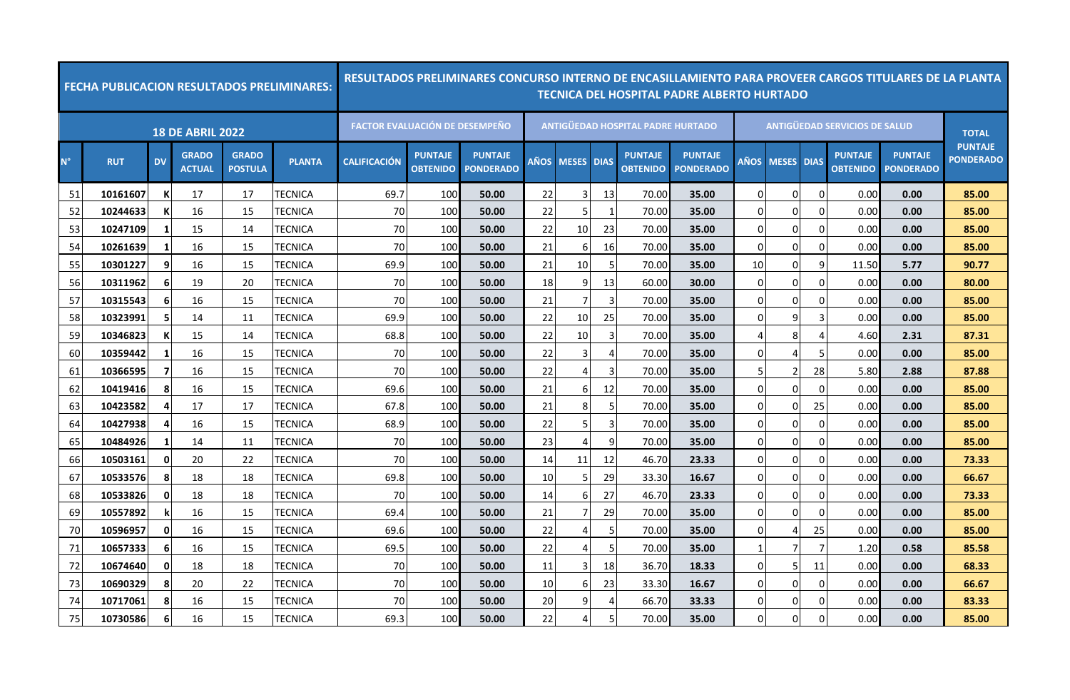|             |            |           |                               |                                | <b>FECHA PUBLICACION RESULTADOS PRELIMINARES:</b> |                                       |                                   | <u>RESULTADOS PRELIMINARES CONCURSO INTERNO DE ENCASILLAMIENTO PARA PROVEER CARGOS TITULARES DE LA PLANTA</u> |      |                |                |                                   | <b>TECNICA DEL HOSPITAL PADRE ALBERTO HURTADO</b> |             |              |                |                                      |                                    |                                    |
|-------------|------------|-----------|-------------------------------|--------------------------------|---------------------------------------------------|---------------------------------------|-----------------------------------|---------------------------------------------------------------------------------------------------------------|------|----------------|----------------|-----------------------------------|---------------------------------------------------|-------------|--------------|----------------|--------------------------------------|------------------------------------|------------------------------------|
|             |            |           | <b>18 DE ABRIL 2022</b>       |                                |                                                   | <b>FACTOR EVALUACIÓN DE DESEMPEÑO</b> |                                   |                                                                                                               |      |                |                | ANTIGÜEDAD HOSPITAL PADRE HURTADO |                                                   |             |              |                | <b>ANTIGÜEDAD SERVICIOS DE SALUD</b> |                                    | <b>TOTAL</b>                       |
| $N^{\circ}$ | <b>RUT</b> | <b>DV</b> | <b>GRADO</b><br><b>ACTUAL</b> | <b>GRADO</b><br><b>POSTULA</b> | <b>PLANTA</b>                                     | <b>CALIFICACIÓN</b>                   | <b>PUNTAJE</b><br><b>OBTENIDO</b> | <b>PUNTAJE</b><br><b>PONDERADO</b>                                                                            | AÑOS | <b>MESES</b>   | <b>DIAS</b>    | <b>PUNTAJE</b><br><b>OBTENIDO</b> | <b>PUNTAJE</b><br><b>PONDERADO</b>                | AÑOS        | <b>MESES</b> | <b>DIAS</b>    | <b>PUNTAJE</b><br><b>OBTENIDO</b>    | <b>PUNTAJE</b><br><b>PONDERADO</b> | <b>PUNTAJE</b><br><b>PONDERADO</b> |
| 51          | 10161607   |           | 17                            | 17                             | TECNICA                                           | 69.7                                  | 100                               | 50.00                                                                                                         | 22   | 3              | 13             | 70.00                             | 35.00                                             | $\Omega$    | $\Omega$     | 0              | 0.00                                 | 0.00                               | 85.00                              |
| 52          | 10244633   | -K        | 16                            | 15                             | TECNICA                                           | 70                                    | 100                               | 50.00                                                                                                         | 22   | 5              | -1             | 70.00                             | 35.00                                             | 0           | 0            | $\mathbf 0$    | 0.00                                 | 0.00                               | 85.00                              |
| 53          | 10247109   | -1        | 15                            | 14                             | TECNICA                                           | 70                                    | 100                               | 50.00                                                                                                         | 22   | 10             | 23             | 70.00                             | 35.00                                             | $\Omega$    | 0            | $\overline{0}$ | 0.00                                 | 0.00                               | 85.00                              |
| 54          | 10261639   | -1        | 16                            | 15                             | TECNICA                                           | 70                                    | 100                               | 50.00                                                                                                         | 21   | 6              | 16             | 70.00                             | 35.00                                             | 0           | 0            | $\overline{0}$ | 0.00                                 | 0.00                               | 85.00                              |
| 55          | 10301227   | 9         | 16                            | 15                             | TECNICA                                           | 69.9                                  | 100                               | 50.00                                                                                                         | 21   | 10             | 5              | 70.00                             | 35.00                                             | 10          | 0            | 9              | 11.50                                | 5.77                               | 90.77                              |
| 56          | 10311962   | 6         | 19                            | 20                             | TECNICA                                           | 70                                    | 100                               | 50.00                                                                                                         | 18   | 9              | 13             | 60.00                             | 30.00                                             | $\Omega$    | 0            | $\Omega$       | 0.00                                 | 0.00                               | 80.00                              |
| 57          | 10315543   | 6         | 16                            | 15                             | TECNICA                                           | 70                                    | 100                               | 50.00                                                                                                         | 21   | 7              | $\overline{3}$ | 70.00                             | 35.00                                             | 0           | 0            | $\overline{0}$ | 0.00                                 | 0.00                               | 85.00                              |
| 58          | 10323991   |           | 14                            | 11                             | TECNICA                                           | 69.9                                  | 100                               | 50.00                                                                                                         | 22   | 10             | 25             | 70.00                             | 35.00                                             |             | 9            | 3              | 0.00                                 | 0.00                               | 85.00                              |
| 59          | 10346823   | -K        | 15                            | 14                             | TECNICA                                           | 68.8                                  | 100                               | 50.00                                                                                                         | 22   | 10             | 3              | 70.00                             | 35.00                                             |             | 8            | $\overline{4}$ | 4.60                                 | 2.31                               | 87.31                              |
| 60          | 10359442   | - 1       | 16                            | 15                             | TECNICA                                           | 70                                    | 100                               | 50.00                                                                                                         | 22   | 3              | $\overline{4}$ | 70.00                             | 35.00                                             | $\Omega$    | 4            | 5              | 0.00                                 | 0.00                               | 85.00                              |
| 61          | 10366595   | -7        | 16                            | 15                             | TECNICA                                           | 70                                    | 100                               | 50.00                                                                                                         | 22   | 4              | $\overline{3}$ | 70.00                             | 35.00                                             | 5           | 2            | 28             | 5.80                                 | 2.88                               | 87.88                              |
| 62          | 10419416   | 8         | 16                            | 15                             | TECNICA                                           | 69.6                                  | 100                               | 50.00                                                                                                         | 21   | 6              | 12             | 70.00                             | 35.00                                             | $\Omega$    | $\Omega$     | $\Omega$       | 0.00                                 | 0.00                               | 85.00                              |
| 63          | 10423582   |           | 17                            | 17                             | TECNICA                                           | 67.8                                  | 100                               | 50.00                                                                                                         | 21   | 8              | 5              | 70.00                             | 35.00                                             | 0           | 0            | 25             | 0.00                                 | 0.00                               | 85.00                              |
| 64          | 10427938   | Δ         | 16                            | 15                             | TECNICA                                           | 68.9                                  | 100                               | 50.00                                                                                                         | 22   | 5              | 3              | 70.00                             | 35.00                                             | $\mathbf 0$ | 0            | $\mathbf 0$    | 0.00                                 | 0.00                               | 85.00                              |
| 65          | 10484926   |           | 14                            | 11                             | TECNICA                                           | 70                                    | 100                               | 50.00                                                                                                         | 23   | 4              | 9              | 70.00                             | 35.00                                             | $\Omega$    | 0            | 0              | 0.00                                 | 0.00                               | 85.00                              |
| 66          | 10503161   | 0         | 20                            | 22                             | TECNICA                                           | 70                                    | 100                               | 50.00                                                                                                         | 14   | 11             | 12             | 46.70                             | 23.33                                             | 0           | 0            | $\mathbf 0$    | 0.00                                 | 0.00                               | 73.33                              |
| 67          | 10533576   | 8         | 18                            | 18                             | TECNICA                                           | 69.8                                  | 100                               | 50.00                                                                                                         | 10   | 5              | 29             | 33.30                             | 16.67                                             | $\Omega$    | $\Omega$     | $\Omega$       | 0.00                                 | 0.00                               | 66.67                              |
| 68          | 10533826   | 0         | 18                            | 18                             | TECNICA                                           | 70                                    | 100                               | 50.00                                                                                                         | 14   | 6              | 27             | 46.70                             | 23.33                                             | $\mathbf 0$ | 0            | $\mathbf 0$    | 0.00                                 | 0.00                               | 73.33                              |
| 69          | 10557892   |           | 16                            | 15                             | TECNICA                                           | 69.4                                  | 100                               | 50.00                                                                                                         | 21   | 7              | 29             | 70.00                             | 35.00                                             | $\Omega$    | $\Omega$     | $\Omega$       | 0.00                                 | 0.00                               | 85.00                              |
| 70          | 10596957   | 0         | 16                            | 15                             | TECNICA                                           | 69.6                                  | 100                               | 50.00                                                                                                         | 22   | 4              | -5             | 70.00                             | 35.00                                             | $\Omega$    | 4            | 25             | 0.00                                 | 0.00                               | 85.00                              |
| 71          | 10657333   | 6         | 16                            | 15                             | TECNICA                                           | 69.5                                  | 100                               | 50.00                                                                                                         | 22   | 4              | -5             | 70.00                             | 35.00                                             |             | 7            | 7              | 1.20                                 | 0.58                               | 85.58                              |
| 72          | 10674640   | 0         | 18                            | 18                             | TECNICA                                           | 70                                    | 100                               | 50.00                                                                                                         | 11   | 3              | 18             | 36.70                             | 18.33                                             | $\Omega$    | 5            | 11             | 0.00                                 | 0.00                               | 68.33                              |
| 73          | 10690329   | Я         | 20                            | 22                             | TECNICA                                           | 70                                    | 100                               | 50.00                                                                                                         | 10   | 6              | 23             | 33.30                             | 16.67                                             | $\Omega$    | 0            | $\mathbf 0$    | 0.00                                 | 0.00                               | 66.67                              |
| 74          | 10717061   | 8         | 16                            | 15                             | TECNICA                                           | 70                                    | 100                               | 50.00                                                                                                         | 20   | q              | 4              | 66.70                             | 33.33                                             | $\Omega$    | 0            | $\Omega$       | 0.00                                 | 0.00                               | 83.33                              |
| 75          | 10730586   | 6         | 16                            | 15                             | TECNICA                                           | 69.3                                  | 100                               | 50.00                                                                                                         | 22   | $\overline{4}$ | 5              | 70.00                             | 35.00                                             | $\Omega$    | $\mathbf 0$  | $\Omega$       | 0.00                                 | 0.00                               | 85.00                              |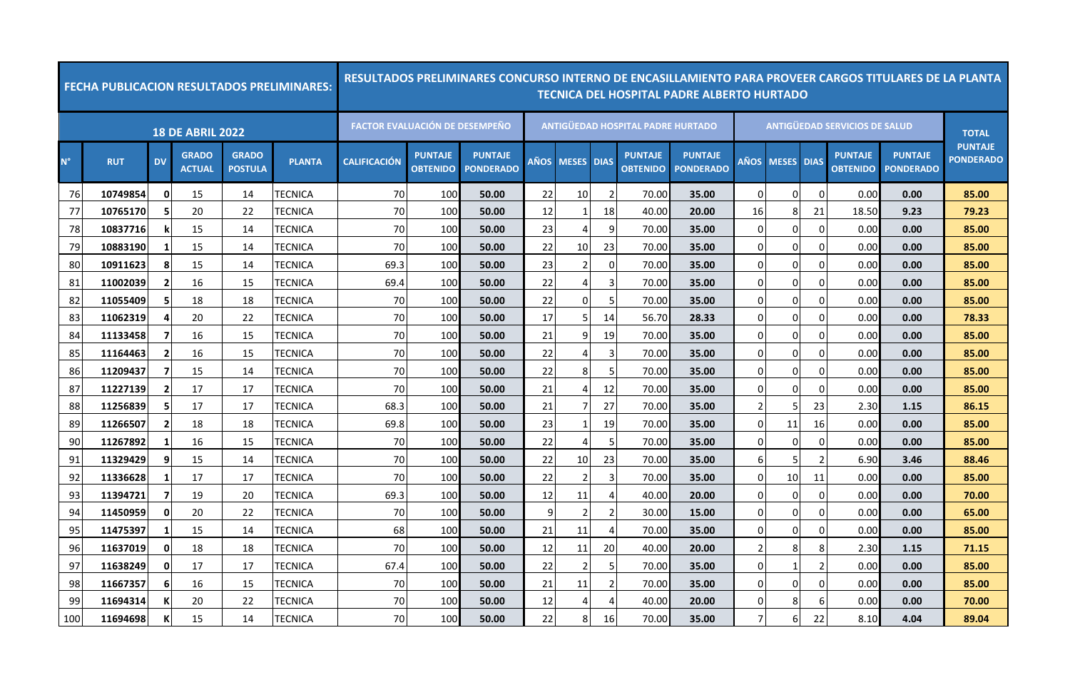|             |            |                |                               |                                | <b>FECHA PUBLICACION RESULTADOS PRELIMINARES:</b> |                                       |                                   | <u>RESULTADOS PRELIMINARES CONCURSO INTERNO DE ENCASILLAMIENTO PARA PROVEER CARGOS TITULARES DE LA PLANTA</u> |             |                       |                |                                          | TECNICA DEL HOSPITAL PADRE ALBERTO HURTADO |                |                   |                |                                      |                                    |                                    |
|-------------|------------|----------------|-------------------------------|--------------------------------|---------------------------------------------------|---------------------------------------|-----------------------------------|---------------------------------------------------------------------------------------------------------------|-------------|-----------------------|----------------|------------------------------------------|--------------------------------------------|----------------|-------------------|----------------|--------------------------------------|------------------------------------|------------------------------------|
|             |            |                | <b>18 DE ABRIL 2022</b>       |                                |                                                   | <b>FACTOR EVALUACIÓN DE DESEMPEÑO</b> |                                   |                                                                                                               |             |                       |                | <b>ANTIGÜEDAD HOSPITAL PADRE HURTADO</b> |                                            |                |                   |                | <b>ANTIGÜEDAD SERVICIOS DE SALUD</b> |                                    | <b>TOTAL</b>                       |
| $N^{\circ}$ | <b>RUT</b> | <b>DV</b>      | <b>GRADO</b><br><b>ACTUAL</b> | <b>GRADO</b><br><b>POSTULA</b> | <b>PLANTA</b>                                     | <b>CALIFICACIÓN</b>                   | <b>PUNTAJE</b><br><b>OBTENIDO</b> | <b>PUNTAJE</b><br><b>PONDERADO</b>                                                                            | <b>AÑOS</b> | <b>MESES</b>          | <b>DIAS</b>    | <b>PUNTAJE</b><br><b>OBTENIDO</b>        | <b>PUNTAJE</b><br><b>PONDERADO</b>         | <b>AÑOS</b>    | <b>MESES DIAS</b> |                | <b>PUNTAJE</b><br><b>OBTENIDO</b>    | <b>PUNTAJE</b><br><b>PONDERADO</b> | <b>PUNTAJE</b><br><b>PONDERADO</b> |
| 76          | 10749854   | $\mathbf{0}$   | 15                            | 14                             | TECNICA                                           | 70                                    | 100                               | 50.00                                                                                                         | 22          | 10                    | $\mathcal{P}$  | 70.00                                    | 35.00                                      | 0              | $\Omega$          | $\Omega$       | 0.00                                 | 0.00                               | 85.00                              |
| 77          | 10765170   |                | 20                            | 22                             | <b>TECNICA</b>                                    | 70                                    | 100                               | 50.00                                                                                                         | 12          | 1                     | 18             | 40.00                                    | 20.00                                      | 16             | 8                 | 21             | 18.50                                | 9.23                               | 79.23                              |
| 78          | 10837716   |                | 15                            | 14                             | TECNICA                                           | 70                                    | 100                               | 50.00                                                                                                         | 23          | $\boldsymbol{\Delta}$ | 9              | 70.00                                    | 35.00                                      | $\Omega$       | $\overline{0}$    | $\Omega$       | 0.00                                 | 0.00                               | 85.00                              |
| 79          | 10883190   | -1             | 15                            | 14                             | TECNICA                                           | 70                                    | 100                               | 50.00                                                                                                         | 22          | 10                    | 23             | 70.00                                    | 35.00                                      | 0              | 0                 | $\Omega$       | 0.00                                 | 0.00                               | 85.00                              |
| 80          | 10911623   | 8              | 15                            | 14                             | TECNICA                                           | 69.3                                  | 100                               | 50.00                                                                                                         | 23          | $\overline{2}$        | 0              | 70.00                                    | 35.00                                      | 0              | $\overline{0}$    | $\Omega$       | 0.00                                 | 0.00                               | 85.00                              |
| 81          | 11002039   | $\overline{2}$ | 16                            | 15                             | TECNICA                                           | 69.4                                  | 100                               | 50.00                                                                                                         | 22          | 4                     | 3              | 70.00                                    | 35.00                                      | $\Omega$       | $\overline{0}$    | $\Omega$       | 0.00                                 | 0.00                               | 85.00                              |
| 82          | 11055409   | 5              | 18                            | 18                             | TECNICA                                           | 70                                    | 100                               | 50.00                                                                                                         | 22          | 0                     | -5             | 70.00                                    | 35.00                                      | 0              | $\overline{0}$    | $\Omega$       | 0.00                                 | 0.00                               | 85.00                              |
| 83          | 11062319   |                | 20                            | 22                             | TECNICA                                           | 70                                    | 100                               | 50.00                                                                                                         | 17          | 5                     | -14            | 56.70                                    | 28.33                                      | 0              | $\Omega$          | $\Omega$       | 0.00                                 | 0.00                               | 78.33                              |
| 84          | 11133458   |                | 16                            | 15                             | TECNICA                                           | 70                                    | 100                               | 50.00                                                                                                         | 21          | 9                     | 19             | 70.00                                    | 35.00                                      | $\Omega$       | $\overline{0}$    | $\Omega$       | 0.00                                 | 0.00                               | 85.00                              |
| 85          | 11164463   | $\overline{2}$ | 16                            | 15                             | TECNICA                                           | 70                                    | 100                               | 50.00                                                                                                         | 22          | 4                     | 3              | 70.00                                    | 35.00                                      | $\Omega$       | $\Omega$          | $\Omega$       | 0.00                                 | 0.00                               | 85.00                              |
| 86          | 11209437   | -7             | 15                            | 14                             | TECNICA                                           | 70                                    | 100                               | 50.00                                                                                                         | 22          | 8                     | 5              | 70.00                                    | 35.00                                      | 0              | $\overline{0}$    | $\mathbf 0$    | 0.00                                 | 0.00                               | 85.00                              |
| 87          | 11227139   |                | 17                            | 17                             | TECNICA                                           | 70                                    | 100                               | 50.00                                                                                                         | 21          | 4                     | 12             | 70.00                                    | 35.00                                      | $\Omega$       | $\overline{0}$    | $\Omega$       | 0.00                                 | 0.00                               | 85.00                              |
| 88          | 11256839   |                | 17                            | 17                             | TECNICA                                           | 68.3                                  | 100                               | 50.00                                                                                                         | 21          | 7                     | 27             | 70.00                                    | 35.00                                      | $\overline{2}$ | 5                 | 23             | 2.30                                 | 1.15                               | 86.15                              |
| 89          | 11266507   | 2              | 18                            | 18                             | <b>TECNICA</b>                                    | 69.8                                  | 100                               | 50.00                                                                                                         | 23          | $\mathbf{1}$          | 19             | 70.00                                    | 35.00                                      | 0              | 11                | 16             | 0.00                                 | 0.00                               | 85.00                              |
| 90          | 11267892   | $\mathbf{1}$   | 16                            | 15                             | TECNICA                                           | 70                                    | 100                               | 50.00                                                                                                         | 22          | 4                     | -5             | 70.00                                    | 35.00                                      | 0              | 0                 | $\Omega$       | 0.00                                 | 0.00                               | 85.00                              |
| 91          | 11329429   | 9              | 15                            | 14                             | TECNICA                                           | 70                                    | 100                               | 50.00                                                                                                         | 22          | 10                    | 23             | 70.00                                    | 35.00                                      | 6              | 5                 | $\overline{2}$ | 6.90                                 | 3.46                               | 88.46                              |
| 92          | 11336628   | -1             | 17                            | 17                             | TECNICA                                           | 70                                    | 100                               | 50.00                                                                                                         | 22          | $\overline{2}$        | 3              | 70.00                                    | 35.00                                      | $\Omega$       | 10                | 11             | 0.00                                 | 0.00                               | 85.00                              |
| 93          | 11394721   |                | 19                            | 20                             | TECNICA                                           | 69.3                                  | 100                               | 50.00                                                                                                         | 12          | 11                    | 4              | 40.00                                    | 20.00                                      | 0              | 0                 | $\Omega$       | 0.00                                 | 0.00                               | 70.00                              |
| 94          | 11450959   | 0              | 20                            | 22                             | TECNICA                                           | 70                                    | 100                               | 50.00                                                                                                         | q           | 2                     | -2             | 30.00                                    | 15.00                                      | $\Omega$       | $\Omega$          | $\Omega$       | 0.00                                 | 0.00                               | 65.00                              |
| 95          | 11475397   | -1             | 15                            | 14                             | TECNICA                                           | 68                                    | 100                               | 50.00                                                                                                         | 21          | 11                    | 4              | 70.00                                    | 35.00                                      | 0              | $\overline{0}$    | $\Omega$       | 0.00                                 | 0.00                               | 85.00                              |
| 96          | 11637019   | 0              | 18                            | 18                             | <b>TECNICA</b>                                    | 70                                    | 100                               | 50.00                                                                                                         | 12          | 11                    | 20             | 40.00                                    | 20.00                                      | 2              | 8                 | 8              | 2.30                                 | 1.15                               | 71.15                              |
| 97          | 11638249   | 0              | 17                            | 17                             | TECNICA                                           | 67.4                                  | 100                               | 50.00                                                                                                         | 22          | $\overline{2}$        | 5              | 70.00                                    | 35.00                                      | 0              | 1                 | $\overline{2}$ | 0.00                                 | 0.00                               | 85.00                              |
| 98          | 11667357   | 6              | 16                            | 15                             | TECNICA                                           | 70                                    | 100                               | 50.00                                                                                                         | 21          | 11                    | $\overline{2}$ | 70.00                                    | 35.00                                      | 0              | $\overline{0}$    | $\Omega$       | 0.00                                 | 0.00                               | 85.00                              |
| 99          | 11694314   |                | 20                            | 22                             | TECNICA                                           | 70                                    | 100                               | 50.00                                                                                                         | 12          | 4                     |                | 40.00                                    | 20.00                                      | 0              | 8                 | 6              | 0.00                                 | 0.00                               | 70.00                              |
| 100         | 11694698   |                | 15                            | 14                             | TECNICA                                           | 70                                    | 100                               | 50.00                                                                                                         | 22          | 8                     | 16             | 70.00                                    | 35.00                                      | $\overline{7}$ | 6                 | 22             | 8.10                                 | 4.04                               | 89.04                              |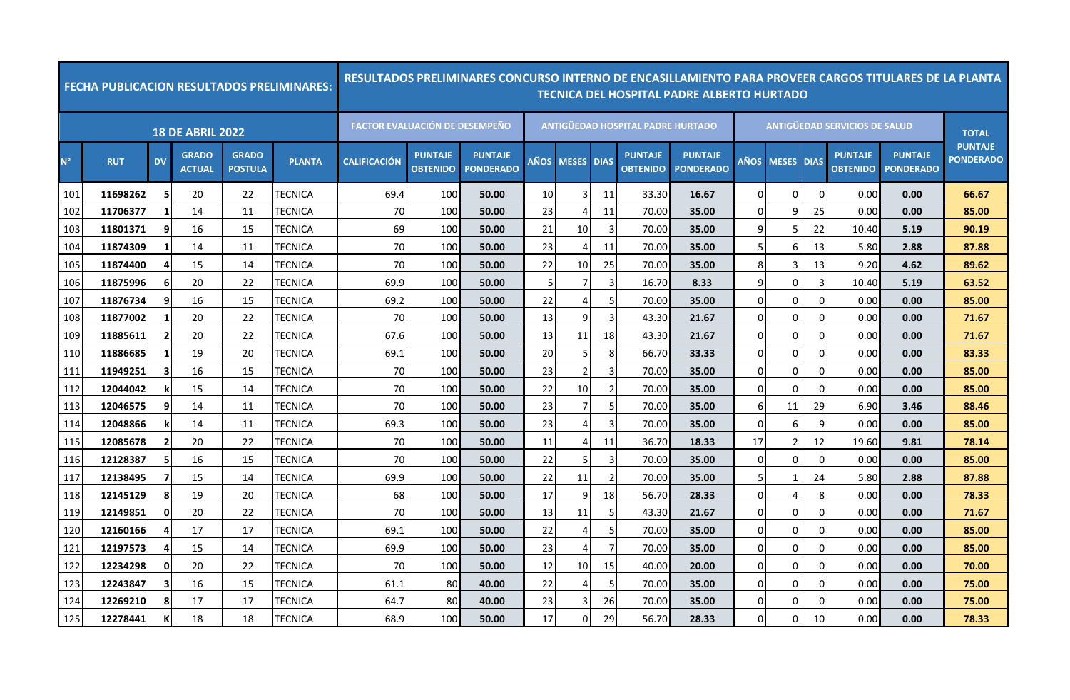|             |            |                         |                               |                                | <b>FECHA PUBLICACION RESULTADOS PRELIMINARES:</b> |                                       |                                   |                                    |    |                 |                |                                   | <u>RESULTADOS PRELIMINARES CONCURSO INTERNO DE ENCASILLAMIENTO PARA PROVEER CARGOS TITULARES DE LA PLANTA</u><br>TECNICA DEL HOSPITAL PADRE ALBERTO HURTADO |                |                        |          |                                      |                                    |                                    |
|-------------|------------|-------------------------|-------------------------------|--------------------------------|---------------------------------------------------|---------------------------------------|-----------------------------------|------------------------------------|----|-----------------|----------------|-----------------------------------|-------------------------------------------------------------------------------------------------------------------------------------------------------------|----------------|------------------------|----------|--------------------------------------|------------------------------------|------------------------------------|
|             |            |                         | <b>18 DE ABRIL 2022</b>       |                                |                                                   | <b>FACTOR EVALUACIÓN DE DESEMPEÑO</b> |                                   |                                    |    |                 |                | ANTIGÜEDAD HOSPITAL PADRE HURTADO |                                                                                                                                                             |                |                        |          | <b>ANTIGÜEDAD SERVICIOS DE SALUD</b> |                                    | <b>TOTAL</b>                       |
| $N^{\circ}$ | <b>RUT</b> | <b>DV</b>               | <b>GRADO</b><br><b>ACTUAL</b> | <b>GRADO</b><br><b>POSTULA</b> | <b>PLANTA</b>                                     | <b>CALIFICACIÓN</b>                   | <b>PUNTAJE</b><br><b>OBTENIDO</b> | <b>PUNTAJE</b><br><b>PONDERADO</b> |    | AÑOS MESES DIAS |                | <b>PUNTAJE</b><br><b>OBTENIDO</b> | <b>PUNTAJE</b><br><b>PONDERADO</b>                                                                                                                          |                | <b>AÑOS MESES DIAS</b> |          | <b>PUNTAJE</b><br><b>OBTENIDO</b>    | <b>PUNTAJE</b><br><b>PONDERADO</b> | <b>PUNTAJE</b><br><b>PONDERADO</b> |
| 101         | 11698262   | -5                      | 20                            | 22                             | TECNICA                                           | 69.4                                  | 100                               | 50.00                              | 10 | 3               | 11             | 33.30                             | 16.67                                                                                                                                                       | $\Omega$       | $\Omega$               | $\Omega$ | 0.00                                 | 0.00                               | 66.67                              |
| 102         | 11706377   | -1                      | 14                            | 11                             | TECNICA                                           | 70                                    | 100                               | 50.00                              | 23 | 4               | 11             | 70.00                             | 35.00                                                                                                                                                       | $\overline{0}$ | 9                      | 25       | 0.00                                 | 0.00                               | 85.00                              |
| 103         | 11801371   | 9                       | 16                            | 15                             | <b>TECNICA</b>                                    | 69                                    | 100                               | 50.00                              | 21 | 10              | 3              | 70.00                             | 35.00                                                                                                                                                       | $\mathsf{q}$   | 5.                     | 22       | 10.40                                | 5.19                               | 90.19                              |
| 104         | 11874309   | -1                      | 14                            | 11                             | TECNICA                                           | 70                                    | 100                               | 50.00                              | 23 | 4               | 11             | 70.00                             | 35.00                                                                                                                                                       | 5              | 6                      | 13       | 5.80                                 | 2.88                               | 87.88                              |
| 105         | 11874400   | 4                       | 15                            | 14                             | TECNICA                                           | 70                                    | 100                               | 50.00                              | 22 | 10              | 25             | 70.00                             | 35.00                                                                                                                                                       | 8              | 3                      | 13       | 9.20                                 | 4.62                               | 89.62                              |
| 106         | 11875996   | 6                       | 20                            | 22                             | <b>TECNICA</b>                                    | 69.9                                  | 100                               | 50.00                              |    | 7               | 3              | 16.70                             | 8.33                                                                                                                                                        | 9              | $\Omega$               | 3        | 10.40                                | 5.19                               | 63.52                              |
| 107         | 11876734   | 9                       | 16                            | 15                             | TECNICA                                           | 69.2                                  | 100                               | 50.00                              | 22 | 4               |                | 70.00                             | 35.00                                                                                                                                                       | $\overline{0}$ | 0                      | $\Omega$ | 0.00                                 | 0.00                               | 85.00                              |
| 108         | 11877002   | 1                       | 20                            | 22                             | <b>TECNICA</b>                                    | 70                                    | 100                               | 50.00                              | 13 | 9               | 3              | 43.30                             | 21.67                                                                                                                                                       | $\Omega$       | 0                      | $\Omega$ | 0.00                                 | 0.00                               | 71.67                              |
| 109         | 11885611   | $\overline{2}$          | 20                            | 22                             | <b>TECNICA</b>                                    | 67.6                                  | 100                               | 50.00                              | 13 | 11              | 18             | 43.30                             | 21.67                                                                                                                                                       | $\Omega$       | 0                      | 0        | 0.00                                 | 0.00                               | 71.67                              |
| 110         | 11886685   | -1                      | 19                            | 20                             | TECNICA                                           | 69.1                                  | 100                               | 50.00                              | 20 | 5               | 8              | 66.70                             | 33.33                                                                                                                                                       | $\Omega$       | 0                      | 0        | 0.00                                 | 0.00                               | 83.33                              |
| 111         | 11949251   | 3                       | 16                            | 15                             | <b>TECNICA</b>                                    | 70                                    | 100                               | 50.00                              | 23 | 2               | 3              | 70.00                             | 35.00                                                                                                                                                       | $\overline{0}$ | $\Omega$               | 0        | 0.00                                 | 0.00                               | 85.00                              |
| 112         | 12044042   |                         | 15                            | 14                             | TECNICA                                           | 70                                    | 100                               | 50.00                              | 22 | 10              | $\overline{2}$ | 70.00                             | 35.00                                                                                                                                                       | 0              | 0                      | $\Omega$ | 0.00                                 | 0.00                               | 85.00                              |
| 113         | 12046575   | 9                       | 14                            | 11                             | <b>TECNICA</b>                                    | 70                                    | 100                               | 50.00                              | 23 | 7               | 5              | 70.00                             | 35.00                                                                                                                                                       | 6              | 11                     | 29       | 6.90                                 | 3.46                               | 88.46                              |
| 114         | 12048866   |                         | 14                            | 11                             | <b>TECNICA</b>                                    | 69.3                                  | 100                               | 50.00                              | 23 | 4               | 3              | 70.00                             | 35.00                                                                                                                                                       | $\overline{0}$ | 6                      | 9        | 0.00                                 | 0.00                               | 85.00                              |
| 115         | 12085678   | $\overline{\mathbf{2}}$ | 20                            | 22                             | TECNICA                                           | 70                                    | 100                               | 50.00                              | 11 | 4               | 11             | 36.70                             | 18.33                                                                                                                                                       | 17             | 2                      | 12       | 19.60                                | 9.81                               | 78.14                              |
| 116         | 12128387   | -5                      | 16                            | 15                             | TECNICA                                           | 70                                    | 100                               | 50.00                              | 22 | 5               | 3              | 70.00                             | 35.00                                                                                                                                                       | $\overline{0}$ | 0                      | $\Omega$ | 0.00                                 | 0.00                               | 85.00                              |
| 117         | 12138495   | 7                       | 15                            | 14                             | TECNICA                                           | 69.9                                  | 100                               | 50.00                              | 22 | 11              | $\overline{2}$ | 70.00                             | 35.00                                                                                                                                                       | 5              | 1                      | 24       | 5.80                                 | 2.88                               | 87.88                              |
| 118         | 12145129   | 8                       | 19                            | 20                             | TECNICA                                           | 68                                    | 100                               | 50.00                              | 17 | 9               | 18             | 56.70                             | 28.33                                                                                                                                                       | $\overline{0}$ | 4                      | 8        | 0.00                                 | 0.00                               | 78.33                              |
| 119         | 12149851   | $\mathbf{0}$            | 20                            | 22                             | TECNICA                                           | 70                                    | 100                               | 50.00                              | 13 | 11              | 5              | 43.30                             | 21.67                                                                                                                                                       | $\Omega$       | 0                      | $\Omega$ | 0.00                                 | 0.00                               | 71.67                              |
| 120         | 12160166   |                         | 17                            | 17                             | TECNICA                                           | 69.1                                  | 100                               | 50.00                              | 22 | 4               | 5              | 70.00                             | 35.00                                                                                                                                                       | $\Omega$       | 0                      | $\Omega$ | 0.00                                 | 0.00                               | 85.00                              |
| 121         | 12197573   | 4                       | 15                            | 14                             | TECNICA                                           | 69.9                                  | 100                               | 50.00                              | 23 | 4               | 7              | 70.00                             | 35.00                                                                                                                                                       | $\overline{0}$ | 0                      | 0        | 0.00                                 | 0.00                               | 85.00                              |
| 122         | 12234298   | 0                       | 20                            | 22                             | <b>TECNICA</b>                                    | 70                                    | 100                               | 50.00                              | 12 | 10              | 15             | 40.00                             | 20.00                                                                                                                                                       | $\Omega$       | $\Omega$               | $\Omega$ | 0.00                                 | 0.00                               | 70.00                              |
| 123         | 12243847   | 3                       | 16                            | 15                             | <b>TECNICA</b>                                    | 61.1                                  | 80                                | 40.00                              | 22 | 4               | 5              | 70.00                             | 35.00                                                                                                                                                       | $\overline{0}$ | 0                      | $\Omega$ | 0.00                                 | 0.00                               | 75.00                              |
| 124         | 12269210   | 8                       | 17                            | 17                             | TECNICA                                           | 64.7                                  | 80                                | 40.00                              | 23 | 3               | 26             | 70.00                             | 35.00                                                                                                                                                       | $\Omega$       | 0                      | $\Omega$ | 0.00                                 | 0.00                               | 75.00                              |
| 125         | 12278441   | К                       | 18                            | 18                             | <b>TECNICA</b>                                    | 68.9                                  | 100                               | 50.00                              | 17 | $\overline{0}$  | 29             | 56.70                             | 28.33                                                                                                                                                       | $\Omega$       | $\overline{0}$         | 10       | 0.00                                 | 0.00                               | 78.33                              |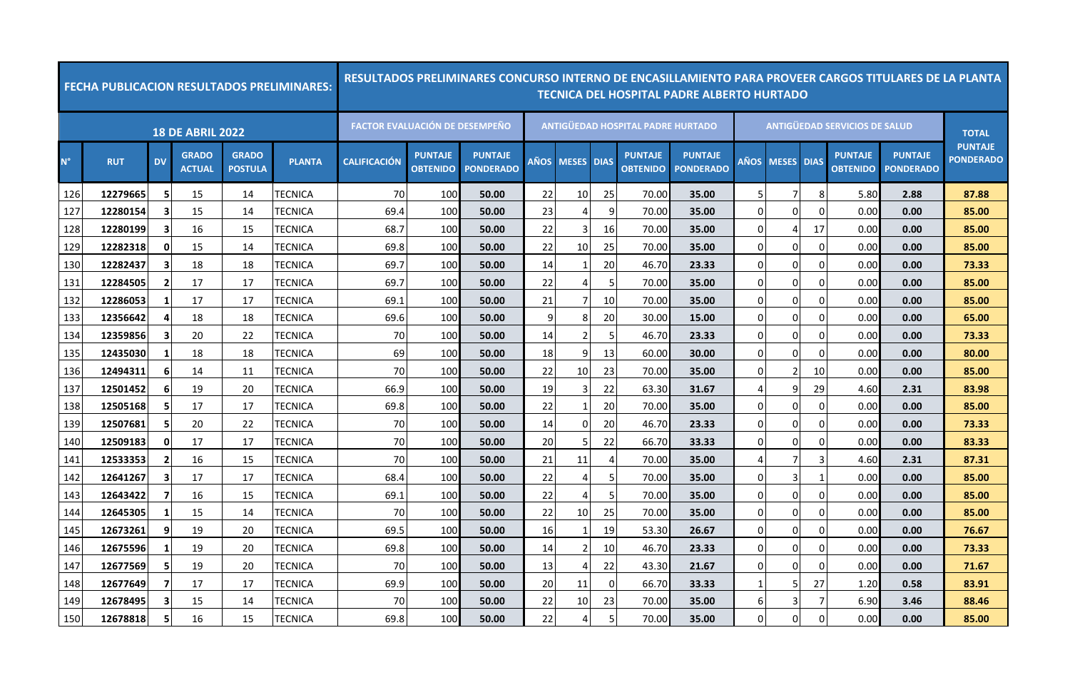|             | <b>FECHA PUBLICACION RESULTADOS PRELIMINARES:</b> |                         |                               |                                |                | RESULTADOS PRELIMINARES CONCURSO INTERNO DE ENCASILLAMIENTO PARA PROVEER CARGOS TITULARES DE LA PLANTA |                                   |                                    |      |                   |                |                                          | <b>TECNICA DEL HOSPITAL PADRE ALBERTO HURTADO</b> |                  |             |                |                                      |                                    |                                    |
|-------------|---------------------------------------------------|-------------------------|-------------------------------|--------------------------------|----------------|--------------------------------------------------------------------------------------------------------|-----------------------------------|------------------------------------|------|-------------------|----------------|------------------------------------------|---------------------------------------------------|------------------|-------------|----------------|--------------------------------------|------------------------------------|------------------------------------|
|             |                                                   |                         | <b>18 DE ABRIL 2022</b>       |                                |                | <b>FACTOR EVALUACIÓN DE DESEMPEÑO</b>                                                                  |                                   |                                    |      |                   |                | <b>ANTIGUEDAD HOSPITAL PADRE HURTADO</b> |                                                   |                  |             |                | <b>ANTIGUEDAD SERVICIOS DE SALUD</b> |                                    | <b>TOTAL</b>                       |
| $N^{\circ}$ | <b>RUT</b>                                        | <b>DV</b>               | <b>GRADO</b><br><b>ACTUAL</b> | <b>GRADO</b><br><b>POSTULA</b> | <b>PLANTA</b>  | <b>CALIFICACIÓN</b>                                                                                    | <b>PUNTAJE</b><br><b>OBTENIDO</b> | <b>PUNTAJE</b><br><b>PONDERADO</b> | AÑOS | <b>MESES DIAS</b> |                | <b>PUNTAJE</b><br><b>OBTENIDO</b>        | <b>PUNTAJE</b><br><b>PONDERADO</b>                |                  | AÑOS MESES  | <b>DIAS</b>    | <b>PUNTAJE</b><br><b>OBTENIDO</b>    | <b>PUNTAJE</b><br><b>PONDERADO</b> | <b>PUNTAJE</b><br><b>PONDERADO</b> |
| 126         | 12279665                                          | -5                      | 15                            | 14                             | TECNICA        | 70                                                                                                     | 100                               | 50.00                              | 22   | 10                | 25             | 70.00                                    | 35.00                                             | 5                | 7           | -8             | 5.80                                 | 2.88                               | 87.88                              |
| 127         | 12280154                                          | 3                       | 15                            | 14                             | <b>TECNICA</b> | 69.4                                                                                                   | 100                               | 50.00                              | 23   | 4                 | 9              | 70.00                                    | 35.00                                             | $\overline{0}$   | $\Omega$    | $\Omega$       | 0.00                                 | 0.00                               | 85.00                              |
| 128         | 12280199                                          | 3                       | 16                            | 15                             | TECNICA        | 68.7                                                                                                   | 100                               | 50.00                              | 22   | 3                 | 16             | 70.00                                    | 35.00                                             | $\overline{0}$   | 4           | 17             | 0.00                                 | 0.00                               | 85.00                              |
| 129         | 12282318                                          | 0                       | 15                            | 14                             | TECNICA        | 69.8                                                                                                   | 100                               | 50.00                              | 22   | 10                | 25             | 70.00                                    | 35.00                                             | $\Omega$         | $\Omega$    | $\Omega$       | 0.00                                 | 0.00                               | 85.00                              |
| 130         | 12282437                                          | 3                       | 18                            | 18                             | TECNICA        | 69.7                                                                                                   | 100                               | 50.00                              | 14   | 1                 | 20             | 46.70                                    | 23.33                                             | $\overline{0}$   | $\Omega$    | 0              | 0.00                                 | 0.00                               | 73.33                              |
| 131         | 12284505                                          | $\overline{2}$          | 17                            | 17                             | TECNICA        | 69.7                                                                                                   | 100                               | 50.00                              | 22   | 4                 | 5              | 70.00                                    | 35.00                                             | $\overline{0}$   | $\Omega$    | 0              | 0.00                                 | 0.00                               | 85.00                              |
| 132         | 12286053                                          | -1                      | 17                            | 17                             | TECNICA        | 69.1                                                                                                   | 100                               | 50.00                              | 21   | 7                 | 10             | 70.00                                    | 35.00                                             | $\mathbf 0$      | $\Omega$    | 0              | 0.00                                 | 0.00                               | 85.00                              |
| 133         | 12356642                                          | 4                       | 18                            | 18                             | TECNICA        | 69.6                                                                                                   | 100                               | 50.00                              | 9    | 8                 | 20             | 30.00                                    | 15.00                                             | $\overline{0}$   | $\Omega$    | $\Omega$       | 0.00                                 | 0.00                               | 65.00                              |
| 134         | 12359856                                          | 3                       | 20                            | 22                             | TECNICA        | 70                                                                                                     | 100                               | 50.00                              | 14   | $\overline{2}$    | 5              | 46.70                                    | 23.33                                             | $\overline{0}$   | $\mathbf 0$ | 0              | 0.00                                 | 0.00                               | 73.33                              |
| 135         | 12435030                                          | -1                      | 18                            | 18                             | TECNICA        | 69                                                                                                     | 100                               | 50.00                              | 18   | 9                 | 13             | 60.00                                    | 30.00                                             | $\overline{0}$   | 0           | 0              | 0.00                                 | 0.00                               | 80.00                              |
| 136         | 12494311                                          | $6 \overline{6}$        | 14                            | 11                             | TECNICA        | 70                                                                                                     | 100                               | 50.00                              | 22   | 10                | 23             | 70.00                                    | 35.00                                             | $\Omega$         | 2           | 10             | 0.00                                 | 0.00                               | 85.00                              |
| 137         | 12501452                                          | 6                       | 19                            | 20                             | TECNICA        | 66.9                                                                                                   | 100                               | 50.00                              | 19   | 3                 | 22             | 63.30                                    | 31.67                                             | $\overline{4}$   | 9           | 29             | 4.60                                 | 2.31                               | 83.98                              |
| 138         | 12505168                                          | -5                      | 17                            | 17                             | TECNICA        | 69.8                                                                                                   | 100                               | 50.00                              | 22   | 1                 | 20             | 70.00                                    | 35.00                                             | $\overline{0}$   | $\Omega$    | 0              | 0.00                                 | 0.00                               | 85.00                              |
| 139         | 12507681                                          | 5                       | 20                            | 22                             | TECNICA        | 70                                                                                                     | 100                               | 50.00                              | 14   | $\Omega$          | 20             | 46.70                                    | 23.33                                             | $\Omega$         | $\Omega$    | 0              | 0.00                                 | 0.00                               | 73.33                              |
| 140         | 12509183                                          | $\mathbf{0}$            | 17                            | 17                             | <b>TECNICA</b> | 70                                                                                                     | 100                               | 50.00                              | 20   | 5                 | 22             | 66.70                                    | 33.33                                             | $\overline{0}$   | $\Omega$    | 0              | 0.00                                 | 0.00                               | 83.33                              |
| 141         | 12533353                                          | $\overline{2}$          | 16                            | 15                             | TECNICA        | 70                                                                                                     | 100                               | 50.00                              | 21   | 11                | $\overline{4}$ | 70.00                                    | 35.00                                             | 4                | 7           | 3              | 4.60                                 | 2.31                               | 87.31                              |
| 142         | 12641267                                          | 3                       | 17                            | 17                             | TECNICA        | 68.4                                                                                                   | 100                               | 50.00                              | 22   | 4                 | 5              | 70.00                                    | 35.00                                             | $\overline{0}$   | 3           | -1             | 0.00                                 | 0.00                               | 85.00                              |
| 143         | 12643422                                          | $\overline{\mathbf{z}}$ | 16                            | 15                             | TECNICA        | 69.1                                                                                                   | 100                               | 50.00                              | 22   | 4                 | 5              | 70.00                                    | 35.00                                             | $\overline{0}$   | $\mathbf 0$ | $\overline{0}$ | 0.00                                 | 0.00                               | 85.00                              |
| 144         | 12645305                                          | -1                      | 15                            | 14                             | TECNICA        | 70                                                                                                     | 100                               | 50.00                              | 22   | 10                | 25             | 70.00                                    | 35.00                                             | $\overline{0}$   | $\Omega$    | $\Omega$       | 0.00                                 | 0.00                               | 85.00                              |
| 145         | 12673261                                          | 9                       | 19                            | 20                             | TECNICA        | 69.5                                                                                                   | 100                               | 50.00                              | 16   | 1                 | 19             | 53.30                                    | 26.67                                             | $\overline{0}$   | 0           | 0              | 0.00                                 | 0.00                               | 76.67                              |
| 146         | 12675596                                          |                         | 19                            | 20                             | <b>TECNICA</b> | 69.8                                                                                                   | 100                               | 50.00                              | 14   | $\overline{2}$    | 10             | 46.70                                    | 23.33                                             | $\Omega$         | 0           | $\Omega$       | 0.00                                 | 0.00                               | 73.33                              |
| 147         | 12677569                                          | -5                      | 19                            | 20                             | TECNICA        | 70                                                                                                     | 100                               | 50.00                              | 13   | 4                 | 22             | 43.30                                    | 21.67                                             | $\Omega$         | $\Omega$    | $\Omega$       | 0.00                                 | 0.00                               | 71.67                              |
| 148         | 12677649                                          | $\overline{7}$          | 17                            | 17                             | TECNICA        | 69.9                                                                                                   | 100                               | 50.00                              | 20   | 11                | $\mathbf 0$    | 66.70                                    | 33.33                                             | $\mathbf{1}$     | 5           | 27             | 1.20                                 | 0.58                               | 83.91                              |
| 149         | 12678495                                          | 3                       | 15                            | 14                             | TECNICA        | 70                                                                                                     | 100                               | 50.00                              | 22   | 10                | 23             | 70.00                                    | 35.00                                             | $6 \overline{6}$ | 3           | 7              | 6.90                                 | 3.46                               | 88.46                              |
| 150         | 12678818                                          | -5                      | 16                            | 15                             | TECNICA        | 69.8                                                                                                   | 100                               | 50.00                              | 22   | 4                 | 5              | 70.00                                    | 35.00                                             | $\overline{0}$   | 0           | $\Omega$       | 0.00                                 | 0.00                               | 85.00                              |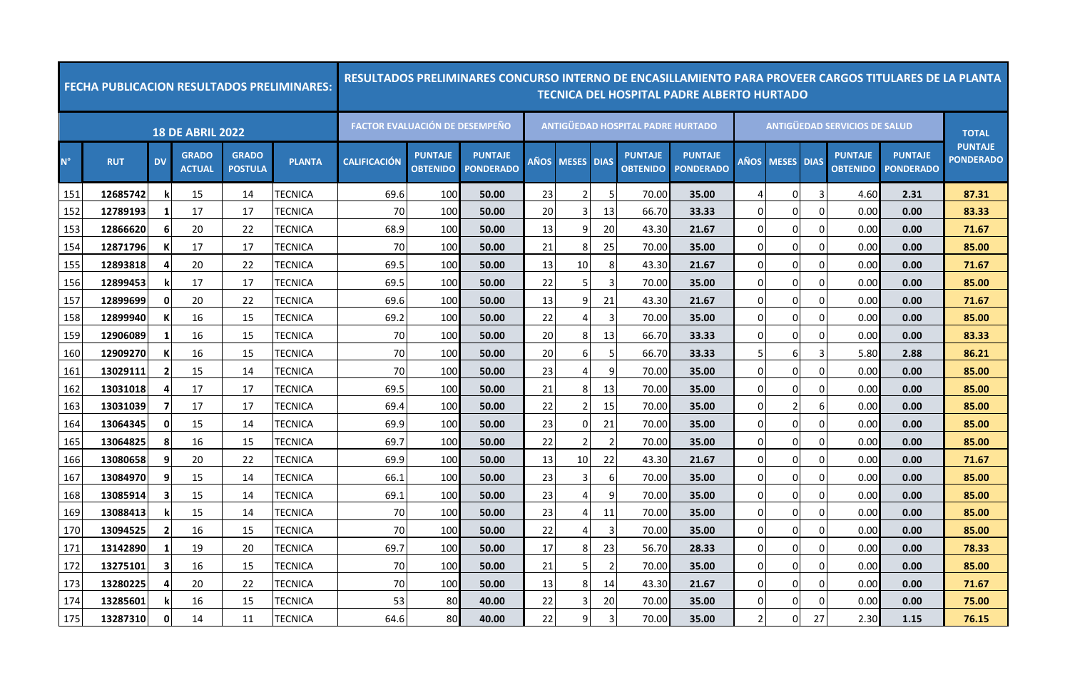|             | <b>FECHA PUBLICACION RESULTADOS PRELIMINARES:</b> |                |                               |                                |                | RESULTADOS PRELIMINARES CONCURSO INTERNO DE ENCASILLAMIENTO PARA PROVEER CARGOS TITULARES DE LA PLANTA |                                   |                                    |      |                   |                |                                          | <b>TECNICA DEL HOSPITAL PADRE ALBERTO HURTADO</b> |                |             |                |                                      |                                    |                                    |
|-------------|---------------------------------------------------|----------------|-------------------------------|--------------------------------|----------------|--------------------------------------------------------------------------------------------------------|-----------------------------------|------------------------------------|------|-------------------|----------------|------------------------------------------|---------------------------------------------------|----------------|-------------|----------------|--------------------------------------|------------------------------------|------------------------------------|
|             |                                                   |                | <b>18 DE ABRIL 2022</b>       |                                |                | <b>FACTOR EVALUACIÓN DE DESEMPEÑO</b>                                                                  |                                   |                                    |      |                   |                | <b>ANTIGUEDAD HOSPITAL PADRE HURTADO</b> |                                                   |                |             |                | <b>ANTIGUEDAD SERVICIOS DE SALUD</b> |                                    | <b>TOTAL</b>                       |
| $N^{\circ}$ | <b>RUT</b>                                        | <b>DV</b>      | <b>GRADO</b><br><b>ACTUAL</b> | <b>GRADO</b><br><b>POSTULA</b> | <b>PLANTA</b>  | <b>CALIFICACIÓN</b>                                                                                    | <b>PUNTAJE</b><br><b>OBTENIDO</b> | <b>PUNTAJE</b><br><b>PONDERADO</b> | AÑOS | <b>MESES DIAS</b> |                | <b>PUNTAJE</b><br><b>OBTENIDO</b>        | <b>PUNTAJE</b><br><b>PONDERADO</b>                |                | AÑOS MESES  | <b>DIAS</b>    | <b>PUNTAJE</b><br><b>OBTENIDO</b>    | <b>PUNTAJE</b><br><b>PONDERADO</b> | <b>PUNTAJE</b><br><b>PONDERADO</b> |
| 151         | 12685742                                          | k              | 15                            | 14                             | TECNICA        | 69.6                                                                                                   | 100                               | 50.00                              | 23   | 2                 | 5              | 70.00                                    | 35.00                                             | 4              | 0           | 3              | 4.60                                 | 2.31                               | 87.31                              |
| 152         | 12789193                                          | 1              | 17                            | 17                             | <b>TECNICA</b> | 70                                                                                                     | 100                               | 50.00                              | 20   | 3                 | 13             | 66.70                                    | 33.33                                             | $\overline{0}$ | $\Omega$    | 0              | 0.00                                 | 0.00                               | 83.33                              |
| 153         | 12866620                                          | 6              | 20                            | 22                             | TECNICA        | 68.9                                                                                                   | 100                               | 50.00                              | 13   | 9                 | 20             | 43.30                                    | 21.67                                             | $\overline{0}$ | 0           | 0              | 0.00                                 | 0.00                               | 71.67                              |
| 154         | 12871796                                          | К              | 17                            | 17                             | TECNICA        | 70                                                                                                     | 100                               | 50.00                              | 21   | 8                 | 25             | 70.00                                    | 35.00                                             | $\Omega$       | $\Omega$    | <sup>0</sup>   | 0.00                                 | 0.00                               | 85.00                              |
| 155         | 12893818                                          | 4              | 20                            | 22                             | TECNICA        | 69.5                                                                                                   | 100                               | 50.00                              | 13   | 10                | 8              | 43.30                                    | 21.67                                             | $\overline{0}$ | $\Omega$    | $\Omega$       | 0.00                                 | 0.00                               | 71.67                              |
| 156         | 12899453                                          | k              | 17                            | 17                             | TECNICA        | 69.5                                                                                                   | 100                               | 50.00                              | 22   | 5                 | 3              | 70.00                                    | 35.00                                             | $\overline{0}$ | $\Omega$    | 0              | 0.00                                 | 0.00                               | 85.00                              |
| 157         | 12899699                                          | 0              | 20                            | 22                             | TECNICA        | 69.6                                                                                                   | 100                               | 50.00                              | 13   | 9                 | 21             | 43.30                                    | 21.67                                             | $\mathbf 0$    | $\Omega$    | 0              | 0.00                                 | 0.00                               | 71.67                              |
| 158         | 12899940                                          | К              | 16                            | 15                             | TECNICA        | 69.2                                                                                                   | 100                               | 50.00                              | 22   | 4                 | 3              | 70.00                                    | 35.00                                             | $\overline{0}$ | $\Omega$    | $\Omega$       | 0.00                                 | 0.00                               | 85.00                              |
| 159         | 12906089                                          | 1              | 16                            | 15                             | TECNICA        | 70                                                                                                     | 100                               | 50.00                              | 20   | 8                 | 13             | 66.70                                    | 33.33                                             | $\overline{0}$ | $\mathbf 0$ | 0              | 0.00                                 | 0.00                               | 83.33                              |
| 160         | 12909270                                          |                | 16                            | 15                             | TECNICA        | 70                                                                                                     | 100                               | 50.00                              | 20   | 6                 | 5              | 66.70                                    | 33.33                                             | 5 <sub>l</sub> | 6           | 3              | 5.80                                 | 2.88                               | 86.21                              |
| 161         | 13029111                                          | $\overline{2}$ | 15                            | 14                             | TECNICA        | 70                                                                                                     | 100                               | 50.00                              | 23   | 4                 | 9              | 70.00                                    | 35.00                                             | $\Omega$       | $\Omega$    | $\Omega$       | 0.00                                 | 0.00                               | 85.00                              |
| 162         | 13031018                                          | 4              | 17                            | 17                             | TECNICA        | 69.5                                                                                                   | 100                               | 50.00                              | 21   | 8                 | 13             | 70.00                                    | 35.00                                             | $\overline{0}$ | $\Omega$    | $\Omega$       | 0.00                                 | 0.00                               | 85.00                              |
| 163         | 13031039                                          | 7              | 17                            | -17                            | TECNICA        | 69.4                                                                                                   | 100                               | 50.00                              | 22   | 2                 | 15             | 70.00                                    | 35.00                                             | $\Omega$       | 2           | 6              | 0.00                                 | 0.00                               | 85.00                              |
| 164         | 13064345                                          | $\mathbf{0}$   | 15                            | 14                             | TECNICA        | 69.9                                                                                                   | 100                               | 50.00                              | 23   | $\Omega$          | 21             | 70.00                                    | 35.00                                             | $\Omega$       | 0           | $\Omega$       | 0.00                                 | 0.00                               | 85.00                              |
| 165         | 13064825                                          | 8              | 16                            | 15                             | TECNICA        | 69.7                                                                                                   | 100                               | 50.00                              | 22   | $\overline{2}$    | $\overline{2}$ | 70.00                                    | 35.00                                             | $\overline{0}$ | $\mathbf 0$ | 0              | 0.00                                 | 0.00                               | 85.00                              |
| 166         | 13080658                                          | 9              | 20                            | 22                             | TECNICA        | 69.9                                                                                                   | 100                               | 50.00                              | 13   | 10                | 22             | 43.30                                    | 21.67                                             | $\overline{0}$ | $\Omega$    | $\Omega$       | 0.00                                 | 0.00                               | 71.67                              |
| 167         | 13084970                                          | 9              | 15                            | 14                             | TECNICA        | 66.1                                                                                                   | 100                               | 50.00                              | 23   | 3                 | 6              | 70.00                                    | 35.00                                             | $\overline{0}$ | 0           | 0              | 0.00                                 | 0.00                               | 85.00                              |
| 168         | 13085914                                          | 3              | 15                            | 14                             | TECNICA        | 69.1                                                                                                   | 100                               | 50.00                              | 23   | 4                 | 9              | 70.00                                    | 35.00                                             | $\overline{0}$ | $\mathbf 0$ | $\overline{0}$ | 0.00                                 | 0.00                               | 85.00                              |
| 169         | 13088413                                          |                | 15                            | 14                             | TECNICA        | 70                                                                                                     | 100                               | 50.00                              | 23   | 4                 | 11             | 70.00                                    | 35.00                                             | $\overline{0}$ | $\Omega$    | $\Omega$       | 0.00                                 | 0.00                               | 85.00                              |
| 170         | 13094525                                          | $\overline{2}$ | 16                            | 15                             | TECNICA        | 70                                                                                                     | 100                               | 50.00                              | 22   | 4                 | 3              | 70.00                                    | 35.00                                             | $\overline{0}$ | 0           | 0              | 0.00                                 | 0.00                               | 85.00                              |
| 171         | 13142890                                          |                | 19                            | 20                             | <b>TECNICA</b> | 69.7                                                                                                   | 100                               | 50.00                              | 17   | 8                 | 23             | 56.70                                    | 28.33                                             | $\mathbf 0$    | 0           | $\Omega$       | 0.00                                 | 0.00                               | 78.33                              |
| 172         | 13275101                                          | -3             | 16                            | 15                             | TECNICA        | 70                                                                                                     | 100                               | 50.00                              | 21   | 5                 | $\overline{2}$ | 70.00                                    | 35.00                                             | $\overline{0}$ | $\Omega$    | 0              | 0.00                                 | 0.00                               | 85.00                              |
| 173         | 13280225                                          | $\overline{a}$ | 20                            | 22                             | TECNICA        | 70                                                                                                     | 100                               | 50.00                              | 13   | 8                 | 14             | 43.30                                    | 21.67                                             | $\overline{0}$ | 0           | $\Omega$       | 0.00                                 | 0.00                               | 71.67                              |
| 174         | 13285601                                          |                | 16                            | 15                             | TECNICA        | 53                                                                                                     | 80                                | 40.00                              | 22   | 3                 | 20             | 70.00                                    | 35.00                                             | $\overline{0}$ | $\Omega$    | 0              | 0.00                                 | 0.00                               | 75.00                              |
| 175         | 13287310                                          | 0              | 14                            | 11                             | TECNICA        | 64.6                                                                                                   | 80                                | 40.00                              | 22   | 9                 | 3              | 70.00                                    | 35.00                                             | $\overline{2}$ | 0           | 27             | 2.30                                 | 1.15                               | 76.15                              |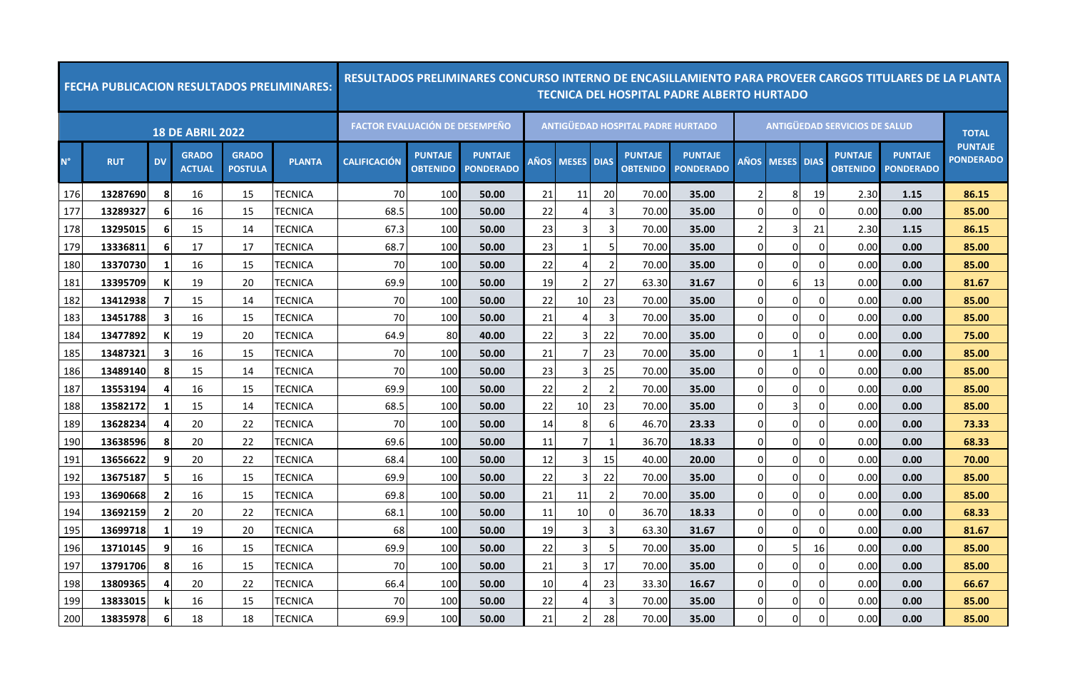|             | <b>FECHA PUBLICACION RESULTADOS PRELIMINARES:</b> |                         |                               |                                |                |                                       |                                   | <u>RESULTADOS PRELIMINARES CONCURSO INTERNO DE ENCASILLAMIENTO PARA PROVEER CARGOS TITULARES DE LA PLANTA</u> |             |                       |                |                                          | TECNICA DEL HOSPITAL PADRE ALBERTO HURTADO |             |              |              |                                      |                                    |                                    |
|-------------|---------------------------------------------------|-------------------------|-------------------------------|--------------------------------|----------------|---------------------------------------|-----------------------------------|---------------------------------------------------------------------------------------------------------------|-------------|-----------------------|----------------|------------------------------------------|--------------------------------------------|-------------|--------------|--------------|--------------------------------------|------------------------------------|------------------------------------|
|             |                                                   |                         | <b>18 DE ABRIL 2022</b>       |                                |                | <b>FACTOR EVALUACIÓN DE DESEMPEÑO</b> |                                   |                                                                                                               |             |                       |                | <b>ANTIGÜEDAD HOSPITAL PADRE HURTADO</b> |                                            |             |              |              | <b>ANTIGÜEDAD SERVICIOS DE SALUD</b> |                                    | <b>TOTAL</b>                       |
| $N^{\circ}$ | <b>RUT</b>                                        | <b>DV</b>               | <b>GRADO</b><br><b>ACTUAL</b> | <b>GRADO</b><br><b>POSTULA</b> | <b>PLANTA</b>  | <b>CALIFICACIÓN</b>                   | <b>PUNTAJE</b><br><b>OBTENIDO</b> | <b>PUNTAJE</b><br><b>PONDERADO</b>                                                                            | <b>AÑOS</b> | <b>MESES</b>          | <b>DIAS</b>    | <b>PUNTAJE</b><br><b>OBTENIDO</b>        | <b>PUNTAJE</b><br><b>PONDERADO</b>         | <b>AÑOS</b> | <b>MESES</b> | <b>DIAS</b>  | <b>PUNTAJE</b><br><b>OBTENIDO</b>    | <b>PUNTAJE</b><br><b>PONDERADO</b> | <b>PUNTAJE</b><br><b>PONDERADO</b> |
| 176         | 13287690                                          | -8                      | 16                            | 15                             | TECNICA        | 70                                    | 100                               | 50.00                                                                                                         | 21          | 11                    | 20             | 70.00                                    | 35.00                                      |             | 8            | 19           | 2.30                                 | 1.15                               | 86.15                              |
| 177         | 13289327                                          | -6                      | 16                            | 15                             | TECNICA        | 68.5                                  | 100                               | 50.00                                                                                                         | 22          | 4                     | 3              | 70.00                                    | 35.00                                      | $\Omega$    | 0            | $\mathbf 0$  | 0.00                                 | 0.00                               | 85.00                              |
| 178         | 13295015                                          | 6                       | 15                            | 14                             | TECNICA        | 67.3                                  | 100                               | 50.00                                                                                                         | 23          | 3                     | 3              | 70.00                                    | 35.00                                      |             | 3            | 21           | 2.30                                 | 1.15                               | 86.15                              |
| 179         | 13336811                                          | 6                       | 17                            | 17                             | TECNICA        | 68.7                                  | 100                               | 50.00                                                                                                         | 23          | 1                     | 5              | 70.00                                    | 35.00                                      | $\Omega$    | $\Omega$     | 0            | 0.00                                 | 0.00                               | 85.00                              |
| 180         | 13370730                                          |                         | 16                            | 15                             | TECNICA        | 70                                    | 100                               | 50.00                                                                                                         | 22          | $\boldsymbol{\Delta}$ | $\overline{2}$ | 70.00                                    | 35.00                                      | $\Omega$    | 0            | $\mathbf 0$  | 0.00                                 | 0.00                               | 85.00                              |
| 181         | 13395709                                          | K                       | 19                            | 20                             | TECNICA        | 69.9                                  | 100                               | 50.00                                                                                                         | 19          | $\overline{2}$        | 27             | 63.30                                    | 31.67                                      | $\Omega$    | 6            | 13           | 0.00                                 | 0.00                               | 81.67                              |
| 182         | 13412938                                          | 7                       | 15                            | 14                             | TECNICA        | 70                                    | 100                               | 50.00                                                                                                         | 22          | 10                    | 23             | 70.00                                    | 35.00                                      | 0           | $\Omega$     | $\mathbf 0$  | 0.00                                 | 0.00                               | 85.00                              |
| 183         | 13451788                                          | -3                      | 16                            | 15                             | TECNICA        | 70                                    | 100                               | 50.00                                                                                                         | 21          | 4                     | 3              | 70.00                                    | 35.00                                      | $\Omega$    | $\Omega$     | $\Omega$     | 0.00                                 | 0.00                               | 85.00                              |
| 184         | 13477892                                          |                         | 19                            | 20                             | TECNICA        | 64.9                                  | 80                                | 40.00                                                                                                         | 22          | 3                     | 22             | 70.00                                    | 35.00                                      | $\Omega$    | 0            | $\Omega$     | 0.00                                 | 0.00                               | 75.00                              |
| 185         | 13487321                                          | 3                       | 16                            | 15                             | TECNICA        | 70                                    | 100                               | 50.00                                                                                                         | 21          | 7                     | 23             | 70.00                                    | 35.00                                      | 0           | 1            | $\mathbf{1}$ | 0.00                                 | 0.00                               | 85.00                              |
| 186         | 13489140                                          | -8                      | 15                            | 14                             | TECNICA        | 70                                    | 100                               | 50.00                                                                                                         | 23          | 3                     | 25             | 70.00                                    | 35.00                                      | 0           | 0            | 0            | 0.00                                 | 0.00                               | 85.00                              |
| 187         | 13553194                                          | 4                       | 16                            | 15                             | TECNICA        | 69.9                                  | 100                               | 50.00                                                                                                         | 22          | $\overline{2}$        | $\overline{2}$ | 70.00                                    | 35.00                                      |             | $\Omega$     | 0            | 0.00                                 | 0.00                               | 85.00                              |
| 188         | 13582172                                          | -1                      | 15                            | 14                             | TECNICA        | 68.5                                  | 100                               | 50.00                                                                                                         | 22          | 10                    | 23             | 70.00                                    | 35.00                                      | 0           | 3            | 0            | 0.00                                 | 0.00                               | 85.00                              |
| 189         | 13628234                                          | 4                       | 20                            | 22                             | <b>TECNICA</b> | 70                                    | 100                               | 50.00                                                                                                         | 14          | 8                     | 6              | 46.70                                    | 23.33                                      | 0           | 0            | $\mathbf 0$  | 0.00                                 | 0.00                               | 73.33                              |
| 190         | 13638596                                          | -8                      | 20                            | 22                             | TECNICA        | 69.6                                  | 100                               | 50.00                                                                                                         | 11          | 7                     | -1             | 36.70                                    | 18.33                                      | $\Omega$    | $\Omega$     | $\Omega$     | 0.00                                 | 0.00                               | 68.33                              |
| 191         | 13656622                                          | 9                       | 20                            | 22                             | TECNICA        | 68.4                                  | 100                               | 50.00                                                                                                         | 12          | 3                     | 15             | 40.00                                    | 20.00                                      | $\Omega$    | 0            | $\mathbf 0$  | 0.00                                 | 0.00                               | 70.00                              |
| 192         | 13675187                                          | -5                      | 16                            | 15                             | TECNICA        | 69.9                                  | 100                               | 50.00                                                                                                         | 22          | 3                     | 22             | 70.00                                    | 35.00                                      | $\Omega$    | $\Omega$     | $\Omega$     | 0.00                                 | 0.00                               | 85.00                              |
| 193         | 13690668                                          | $\overline{\mathbf{2}}$ | 16                            | 15                             | TECNICA        | 69.8                                  | 100                               | 50.00                                                                                                         | 21          | 11                    | $\overline{2}$ | 70.00                                    | 35.00                                      | $\Omega$    | $\Omega$     | $\Omega$     | 0.00                                 | 0.00                               | 85.00                              |
| 194         | 13692159                                          | -2                      | 20                            | 22                             | TECNICA        | 68.1                                  | 100                               | 50.00                                                                                                         | 11          | 10                    | $\Omega$       | 36.70                                    | 18.33                                      | $\Omega$    | $\Omega$     | $\Omega$     | 0.00                                 | 0.00                               | 68.33                              |
| 195         | 13699718                                          |                         | 19                            | 20                             | TECNICA        | 68                                    | 100                               | 50.00                                                                                                         | 19          | 3                     | 3              | 63.30                                    | 31.67                                      | $\Omega$    | 0            | $\Omega$     | 0.00                                 | 0.00                               | 81.67                              |
| 196         | 13710145                                          | 9                       | 16                            | 15                             | TECNICA        | 69.9                                  | 100                               | 50.00                                                                                                         | 22          | 3                     | 5              | 70.00                                    | 35.00                                      | 0           | 5            | 16           | 0.00                                 | 0.00                               | 85.00                              |
| 197         | 13791706                                          | -8                      | 16                            | 15                             | <b>TECNICA</b> | 70                                    | 100                               | 50.00                                                                                                         | 21          | 3                     | 17             | 70.00                                    | 35.00                                      | $\Omega$    | $\Omega$     | $\mathbf 0$  | 0.00                                 | 0.00                               | 85.00                              |
| 198         | 13809365                                          | 4                       | 20                            | 22                             | TECNICA        | 66.4                                  | 100                               | 50.00                                                                                                         | 10          | 4                     | 23             | 33.30                                    | 16.67                                      | $\Omega$    | 0            | $\mathbf 0$  | 0.00                                 | 0.00                               | 66.67                              |
| 199         | 13833015                                          |                         | 16                            | 15                             | <b>TECNICA</b> | 70                                    | 100                               | 50.00                                                                                                         | 22          | 4                     | 3              | 70.00                                    | 35.00                                      | $\Omega$    | $\Omega$     | $\Omega$     | 0.00                                 | 0.00                               | 85.00                              |
| 200         | 13835978                                          | 6                       | 18                            | 18                             | TECNICA        | 69.9                                  | 100                               | 50.00                                                                                                         | 21          | $\overline{2}$        | 28             | 70.00                                    | 35.00                                      | $\Omega$    | $\mathbf 0$  | $\Omega$     | 0.00                                 | 0.00                               | 85.00                              |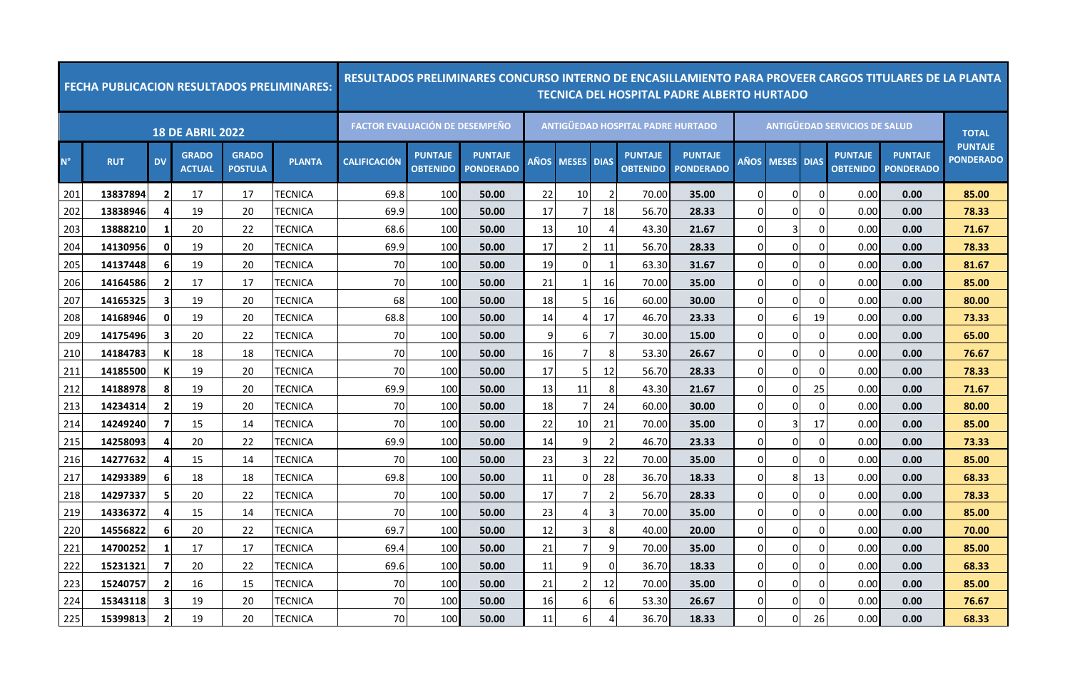|             | <b>FECHA PUBLICACION RESULTADOS PRELIMINARES:</b> |                         |                               |                                |                | RESULTADOS PRELIMINARES CONCURSO INTERNO DE ENCASILLAMIENTO PARA PROVEER CARGOS TITULARES DE LA PLANTA |                                   |                                    |      |                   |                |                                          | <b>TECNICA DEL HOSPITAL PADRE ALBERTO HURTADO</b> |                |            |              |                                      |                                    |                                    |
|-------------|---------------------------------------------------|-------------------------|-------------------------------|--------------------------------|----------------|--------------------------------------------------------------------------------------------------------|-----------------------------------|------------------------------------|------|-------------------|----------------|------------------------------------------|---------------------------------------------------|----------------|------------|--------------|--------------------------------------|------------------------------------|------------------------------------|
|             |                                                   |                         | <b>18 DE ABRIL 2022</b>       |                                |                | <b>FACTOR EVALUACIÓN DE DESEMPEÑO</b>                                                                  |                                   |                                    |      |                   |                | <b>ANTIGUEDAD HOSPITAL PADRE HURTADO</b> |                                                   |                |            |              | <b>ANTIGUEDAD SERVICIOS DE SALUD</b> |                                    | <b>TOTAL</b>                       |
| $N^{\circ}$ | <b>RUT</b>                                        | <b>DV</b>               | <b>GRADO</b><br><b>ACTUAL</b> | <b>GRADO</b><br><b>POSTULA</b> | <b>PLANTA</b>  | <b>CALIFICACIÓN</b>                                                                                    | <b>PUNTAJE</b><br><b>OBTENIDO</b> | <b>PUNTAJE</b><br><b>PONDERADO</b> | AÑOS | <b>MESES DIAS</b> |                | <b>PUNTAJE</b><br><b>OBTENIDO</b>        | <b>PUNTAJE</b><br><b>PONDERADO</b>                |                | AÑOS MESES | <b>DIAS</b>  | <b>PUNTAJE</b><br><b>OBTENIDO</b>    | <b>PUNTAJE</b><br><b>PONDERADO</b> | <b>PUNTAJE</b><br><b>PONDERADO</b> |
| 201         | 13837894                                          | $\overline{\mathbf{2}}$ | 17                            | 17                             | TECNICA        | 69.8                                                                                                   | 100                               | 50.00                              | 22   | 10                | $\overline{2}$ | 70.00                                    | 35.00                                             | $\mathbf 0$    | $\Omega$   | $\Omega$     | 0.00                                 | 0.00                               | 85.00                              |
| 202         | 13838946                                          | 4                       | 19                            | 20                             | <b>TECNICA</b> | 69.9                                                                                                   | 100                               | 50.00                              | 17   | 7                 | 18             | 56.70                                    | 28.33                                             | $\overline{0}$ | $\Omega$   | 0            | 0.00                                 | 0.00                               | 78.33                              |
| 203         | 13888210                                          | 1                       | 20                            | 22                             | TECNICA        | 68.6                                                                                                   | 100                               | 50.00                              | 13   | 10                | 4              | 43.30                                    | 21.67                                             | $\overline{0}$ | 3          | 0            | 0.00                                 | 0.00                               | 71.67                              |
| 204         | 14130956                                          | 0                       | 19                            | 20                             | TECNICA        | 69.9                                                                                                   | 100                               | 50.00                              | 17   | 2                 | 11             | 56.70                                    | 28.33                                             | $\Omega$       | $\Omega$   | <sup>0</sup> | 0.00                                 | 0.00                               | 78.33                              |
| 205         | 14137448                                          | $6 \overline{6}$        | 19                            | 20                             | TECNICA        | 70                                                                                                     | 100                               | 50.00                              | 19   | 0                 | 1              | 63.30                                    | 31.67                                             | $\overline{0}$ | $\Omega$   | $\Omega$     | 0.00                                 | 0.00                               | 81.67                              |
| 206         | 14164586                                          | $\overline{2}$          | 17                            | 17                             | TECNICA        | 70                                                                                                     | 100                               | 50.00                              | 21   | 1                 | 16             | 70.00                                    | 35.00                                             | $\overline{0}$ | $\Omega$   | 0            | 0.00                                 | 0.00                               | 85.00                              |
| 207         | 14165325                                          | $\overline{\mathbf{3}}$ | 19                            | 20                             | TECNICA        | 68                                                                                                     | 100                               | 50.00                              | 18   | 5                 | 16             | 60.00                                    | 30.00                                             | $\mathbf 0$    | $\Omega$   | $\Omega$     | 0.00                                 | 0.00                               | 80.00                              |
| 208         | 14168946                                          | $\mathbf{0}$            | 19                            | 20                             | TECNICA        | 68.8                                                                                                   | 100                               | 50.00                              | 14   | 4                 | 17             | 46.70                                    | 23.33                                             | $\overline{0}$ | 6          | 19           | 0.00                                 | 0.00                               | 73.33                              |
| 209         | 14175496                                          | 3                       | 20                            | 22                             | TECNICA        | 70                                                                                                     | 100                               | 50.00                              | 9    | 6                 | 7              | 30.00                                    | 15.00                                             | $\overline{0}$ | 0          | 0            | 0.00                                 | 0.00                               | 65.00                              |
| 210         | 14184783                                          | К                       | 18                            | 18                             | TECNICA        | 70                                                                                                     | 100                               | 50.00                              | 16   | 7                 | 8              | 53.30                                    | 26.67                                             | $\overline{0}$ | 0          | 0            | 0.00                                 | 0.00                               | 76.67                              |
| 211         | 14185500                                          | К                       | 19                            | 20                             | TECNICA        | 70                                                                                                     | 100                               | 50.00                              | 17   | 5                 | 12             | 56.70                                    | 28.33                                             | $\Omega$       | $\Omega$   | $\Omega$     | 0.00                                 | 0.00                               | 78.33                              |
| 212         | 14188978                                          | 8                       | 19                            | 20                             | TECNICA        | 69.9                                                                                                   | 100                               | 50.00                              | 13   | 11                | 8              | 43.30                                    | 21.67                                             | $\overline{0}$ | 0          | 25           | 0.00                                 | 0.00                               | 71.67                              |
| 213         | 14234314                                          | $\overline{2}$          | 19                            | 20                             | TECNICA        | 70                                                                                                     | 100                               | 50.00                              | 18   | 7                 | 24             | 60.00                                    | 30.00                                             | $\overline{0}$ | $\Omega$   | $\Omega$     | 0.00                                 | 0.00                               | 80.00                              |
| 214         | 14249240                                          | 7                       | 15                            | 14                             | TECNICA        | 70                                                                                                     | 100                               | 50.00                              | 22   | 10                | 21             | 70.00                                    | 35.00                                             | $\Omega$       | 3          | 17           | 0.00                                 | 0.00                               | 85.00                              |
| 215         | 14258093                                          | 4                       | 20                            | 22                             | TECNICA        | 69.9                                                                                                   | 100                               | 50.00                              | 14   | 9                 | $\overline{2}$ | 46.70                                    | 23.33                                             | $\overline{0}$ | $\Omega$   | 0            | 0.00                                 | 0.00                               | 73.33                              |
| 216         | 14277632                                          | 4                       | 15                            | 14                             | TECNICA        | 70                                                                                                     | 100                               | 50.00                              | 23   | 3                 | 22             | 70.00                                    | 35.00                                             | $\overline{0}$ | $\Omega$   | $\Omega$     | 0.00                                 | 0.00                               | 85.00                              |
| 217         | 14293389                                          | 6                       | 18                            | 18                             | TECNICA        | 69.8                                                                                                   | 100                               | 50.00                              | 11   | 0                 | 28             | 36.70                                    | 18.33                                             | $\overline{0}$ | 8          | 13           | 0.00                                 | 0.00                               | 68.33                              |
| 218         | 14297337                                          | 5                       | 20                            | 22                             | TECNICA        | 70                                                                                                     | 100                               | 50.00                              | 17   | 7                 | $\overline{2}$ | 56.70                                    | 28.33                                             | $\overline{0}$ | $\Omega$   | 0            | 0.00                                 | 0.00                               | 78.33                              |
| 219         | 14336372                                          | 4                       | 15                            | 14                             | TECNICA        | 70                                                                                                     | 100                               | 50.00                              | 23   | 4                 | 3              | 70.00                                    | 35.00                                             | $\overline{0}$ | $\Omega$   | $\Omega$     | 0.00                                 | 0.00                               | 85.00                              |
| 220         | 14556822                                          | 6                       | 20                            | 22                             | TECNICA        | 69.7                                                                                                   | 100                               | 50.00                              | 12   | 3                 | 8              | 40.00                                    | 20.00                                             | $\overline{0}$ | 0          | 0            | 0.00                                 | 0.00                               | 70.00                              |
| 221         | 14700252                                          | -1                      | 17                            | 17                             | TECNICA        | 69.4                                                                                                   | 100                               | 50.00                              | 21   | $\overline{7}$    | 9              | 70.00                                    | 35.00                                             | $\mathbf 0$    | 0          | $\Omega$     | 0.00                                 | 0.00                               | 85.00                              |
| 222         | 15231321                                          | 7                       | 20                            | 22                             | TECNICA        | 69.6                                                                                                   | 100                               | 50.00                              | 11   | 9                 | $\Omega$       | 36.70                                    | 18.33                                             | $\overline{0}$ | $\Omega$   | 0            | 0.00                                 | 0.00                               | 68.33                              |
| 223         | 15240757                                          | $\overline{2}$          | 16                            | 15                             | TECNICA        | 70                                                                                                     | 100                               | 50.00                              | 21   | $\overline{2}$    | 12             | 70.00                                    | 35.00                                             | $\overline{0}$ | 0          | $\Omega$     | 0.00                                 | 0.00                               | 85.00                              |
| 224         | 15343118                                          | 3                       | 19                            | 20                             | TECNICA        | 70                                                                                                     | 100                               | 50.00                              | 16   | 6                 | 6              | 53.30                                    | 26.67                                             | $\overline{0}$ | $\Omega$   | 0            | 0.00                                 | 0.00                               | 76.67                              |
| 225         | 15399813                                          | $\overline{2}$          | 19                            | 20                             | TECNICA        | 70                                                                                                     | 100                               | 50.00                              | 11   | 6                 | Δ              | 36.70                                    | 18.33                                             | 0              | 0          | 26           | 0.00                                 | 0.00                               | 68.33                              |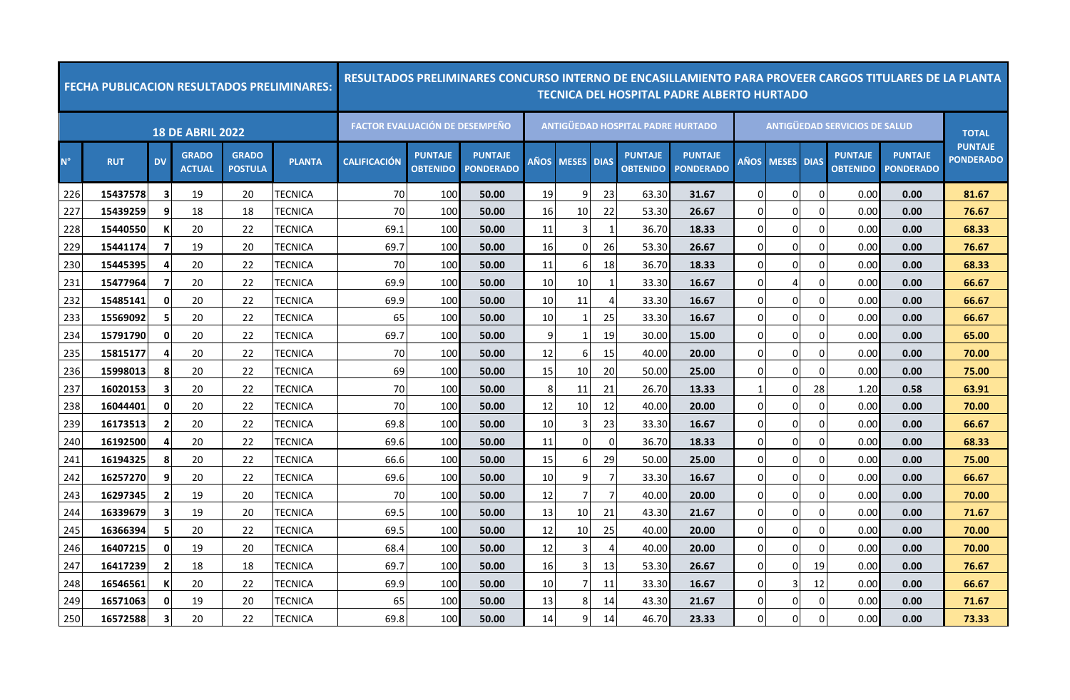|             |            |                         |                               |                                | <b>FECHA PUBLICACION RESULTADOS PRELIMINARES:</b> |                                       |                                   | <u>RESULTADOS PRELIMINARES CONCURSO INTERNO DE ENCASILLAMIENTO PARA PROVEER CARGOS TITULARES DE LA PLANTA</u> |    |                 |                          |                                   | TECNICA DEL HOSPITAL PADRE ALBERTO HURTADO |                |                        |             |                                      |                                    |                                    |
|-------------|------------|-------------------------|-------------------------------|--------------------------------|---------------------------------------------------|---------------------------------------|-----------------------------------|---------------------------------------------------------------------------------------------------------------|----|-----------------|--------------------------|-----------------------------------|--------------------------------------------|----------------|------------------------|-------------|--------------------------------------|------------------------------------|------------------------------------|
|             |            |                         | <b>18 DE ABRIL 2022</b>       |                                |                                                   | <b>FACTOR EVALUACIÓN DE DESEMPEÑO</b> |                                   |                                                                                                               |    |                 |                          | ANTIGÜEDAD HOSPITAL PADRE HURTADO |                                            |                |                        |             | <b>ANTIGÜEDAD SERVICIOS DE SALUD</b> |                                    | <b>TOTAL</b>                       |
| $N^{\circ}$ | <b>RUT</b> | <b>DV</b>               | <b>GRADO</b><br><b>ACTUAL</b> | <b>GRADO</b><br><b>POSTULA</b> | <b>PLANTA</b>                                     | <b>CALIFICACIÓN</b>                   | <b>PUNTAJE</b><br><b>OBTENIDO</b> | <b>PUNTAJE</b><br><b>PONDERADO</b>                                                                            |    | AÑOS MESES DIAS |                          | <b>PUNTAJE</b><br><b>OBTENIDO</b> | <b>PUNTAJE</b><br><b>PONDERADO</b>         |                | <b>AÑOS MESES DIAS</b> |             | <b>PUNTAJE</b><br><b>OBTENIDO</b>    | <b>PUNTAJE</b><br><b>PONDERADO</b> | <b>PUNTAJE</b><br><b>PONDERADO</b> |
| 226         | 15437578   | $\overline{\mathbf{3}}$ | 19                            | 20                             | <b>TECNICA</b>                                    | 70                                    | 100                               | 50.00                                                                                                         | 19 | 9               | 23                       | 63.30                             | 31.67                                      | $\Omega$       | $\Omega$               | $\Omega$    | 0.00                                 | 0.00                               | 81.67                              |
| 227         | 15439259   | 9                       | 18                            | 18                             | TECNICA                                           | 70                                    | 100                               | 50.00                                                                                                         | 16 | 10              | 22                       | 53.30                             | 26.67                                      | $\overline{0}$ | 0                      | $\mathbf 0$ | 0.00                                 | 0.00                               | 76.67                              |
| 228         | 15440550   | К                       | 20                            | 22                             | <b>TECNICA</b>                                    | 69.1                                  | 100                               | 50.00                                                                                                         | 11 | 3               | $\mathbf{1}$             | 36.70                             | 18.33                                      | $\Omega$       | U                      | $\Omega$    | 0.00                                 | 0.00                               | 68.33                              |
| 229         | 15441174   |                         | 19                            | 20                             | TECNICA                                           | 69.7                                  | 100                               | 50.00                                                                                                         | 16 | 0               | 26                       | 53.30                             | 26.67                                      | $\overline{0}$ | 0                      | $\Omega$    | 0.00                                 | 0.00                               | 76.67                              |
| 230         | 15445395   | 4                       | 20                            | 22                             | TECNICA                                           | 70                                    | 100                               | 50.00                                                                                                         | 11 | 6               | 18                       | 36.70                             | 18.33                                      | $\overline{0}$ | 0                      | 0           | 0.00                                 | 0.00                               | 68.33                              |
| 231         | 15477964   | 7                       | 20                            | 22                             | <b>TECNICA</b>                                    | 69.9                                  | 100                               | 50.00                                                                                                         | 10 | 10              | 1                        | 33.30                             | 16.67                                      | $\Omega$       | 4                      | 0           | 0.00                                 | 0.00                               | 66.67                              |
| 232         | 15485141   | 0                       | 20                            | 22                             | TECNICA                                           | 69.9                                  | 100                               | 50.00                                                                                                         | 10 | 11              | 4                        | 33.30                             | 16.67                                      | $\overline{0}$ | 0                      | $\Omega$    | 0.00                                 | 0.00                               | 66.67                              |
| 233         | 15569092   | 5                       | 20                            | 22                             | <b>TECNICA</b>                                    | 65                                    | 100                               | 50.00                                                                                                         | 10 | 1               | 25                       | 33.30                             | 16.67                                      | $\Omega$       | 0                      | $\Omega$    | 0.00                                 | 0.00                               | 66.67                              |
| 234         | 15791790   | 0                       | 20                            | 22                             | <b>TECNICA</b>                                    | 69.7                                  | 100                               | 50.00                                                                                                         | 9  | $\mathbf{1}$    | 19                       | 30.00                             | 15.00                                      | $\Omega$       | 0                      | 0           | 0.00                                 | 0.00                               | 65.00                              |
| 235         | 15815177   | 4                       | 20                            | 22                             | TECNICA                                           | 70                                    | 100                               | 50.00                                                                                                         | 12 | 6               | 15                       | 40.00                             | 20.00                                      | $\Omega$       | 0                      | 0           | 0.00                                 | 0.00                               | 70.00                              |
| 236         | 15998013   | 8                       | 20                            | 22                             | <b>TECNICA</b>                                    | 69                                    | 100                               | 50.00                                                                                                         | 15 | 10              | 20                       | 50.00                             | 25.00                                      | $\Omega$       | $\Omega$               | 0           | 0.00                                 | 0.00                               | 75.00                              |
| 237         | 16020153   | 3                       | 20                            | 22                             | TECNICA                                           | 70                                    | 100                               | 50.00                                                                                                         |    | 11              | 21                       | 26.70                             | 13.33                                      | 1              | 0                      | 28          | 1.20                                 | 0.58                               | 63.91                              |
| 238         | 16044401   | 0                       | 20                            | 22                             | <b>TECNICA</b>                                    | 70                                    | 100                               | 50.00                                                                                                         | 12 | 10              | 12                       | 40.00                             | 20.00                                      | $\overline{0}$ | 0                      | 0           | 0.00                                 | 0.00                               | 70.00                              |
| 239         | 16173513   | $\overline{\mathbf{2}}$ | 20                            | 22                             | <b>TECNICA</b>                                    | 69.8                                  | 100                               | 50.00                                                                                                         | 10 | 3               | 23                       | 33.30                             | 16.67                                      | $\overline{0}$ | 0                      | 0           | 0.00                                 | 0.00                               | 66.67                              |
| 240         | 16192500   |                         | 20                            | 22                             | TECNICA                                           | 69.6                                  | 100                               | 50.00                                                                                                         | 11 | 0               | $\Omega$                 | 36.70                             | 18.33                                      | $\overline{0}$ | 0                      | $\Omega$    | 0.00                                 | 0.00                               | 68.33                              |
| 241         | 16194325   | 8                       | 20                            | 22                             | TECNICA                                           | 66.6                                  | 100                               | 50.00                                                                                                         | 15 | 6               | 29                       | 50.00                             | 25.00                                      | $\overline{0}$ | 0                      | 0           | 0.00                                 | 0.00                               | 75.00                              |
| 242         | 16257270   | 9                       | 20                            | 22                             | TECNICA                                           | 69.6                                  | 100                               | 50.00                                                                                                         | 10 | 9               | 7                        | 33.30                             | 16.67                                      | $\Omega$       | 0                      | $\Omega$    | 0.00                                 | 0.00                               | 66.67                              |
| 243         | 16297345   | $\overline{\mathbf{2}}$ | 19                            | 20                             | TECNICA                                           | 70                                    | 100                               | 50.00                                                                                                         | 12 | 7               |                          | 40.00                             | 20.00                                      | $\overline{0}$ | 0                      | $\Omega$    | 0.00                                 | 0.00                               | 70.00                              |
| 244         | 16339679   | 3                       | 19                            | 20                             | TECNICA                                           | 69.5                                  | 100                               | 50.00                                                                                                         | 13 | 10              | 21                       | 43.30                             | 21.67                                      | $\Omega$       | 0                      | $\Omega$    | 0.00                                 | 0.00                               | 71.67                              |
| 245         | 16366394   | 5                       | 20                            | 22                             | TECNICA                                           | 69.5                                  | 100                               | 50.00                                                                                                         | 12 | 10              | 25                       | 40.00                             | 20.00                                      | $\Omega$       | 0                      | $\Omega$    | 0.00                                 | 0.00                               | 70.00                              |
| 246         | 16407215   | 0                       | 19                            | 20                             | TECNICA                                           | 68.4                                  | 100                               | 50.00                                                                                                         | 12 | 3               | $\boldsymbol{\varDelta}$ | 40.00                             | 20.00                                      | $\overline{0}$ | 0                      | $\Omega$    | 0.00                                 | 0.00                               | 70.00                              |
| 247         | 16417239   | $\overline{\mathbf{2}}$ | 18                            | 18                             | <b>TECNICA</b>                                    | 69.7                                  | 100                               | 50.00                                                                                                         | 16 | 3               | 13                       | 53.30                             | 26.67                                      | $\Omega$       | $\Omega$               | 19          | 0.00                                 | 0.00                               | 76.67                              |
| 248         | 16546561   |                         | 20                            | 22                             | <b>TECNICA</b>                                    | 69.9                                  | 100                               | 50.00                                                                                                         | 10 | 7               | 11                       | 33.30                             | 16.67                                      | $\overline{0}$ | 3                      | 12          | 0.00                                 | 0.00                               | 66.67                              |
| 249         | 16571063   | $\mathbf{0}$            | 19                            | 20                             | TECNICA                                           | 65                                    | 100                               | 50.00                                                                                                         | 13 | 8               | 14                       | 43.30                             | 21.67                                      | $\Omega$       | U                      | $\Omega$    | 0.00                                 | 0.00                               | 71.67                              |
| 250         | 16572588   | 3                       | 20                            | 22                             | <b>TECNICA</b>                                    | 69.8                                  | 100                               | 50.00                                                                                                         | 14 | 9               | 14                       | 46.70                             | 23.33                                      | $\Omega$       | 0                      | $\Omega$    | 0.00                                 | 0.00                               | 73.33                              |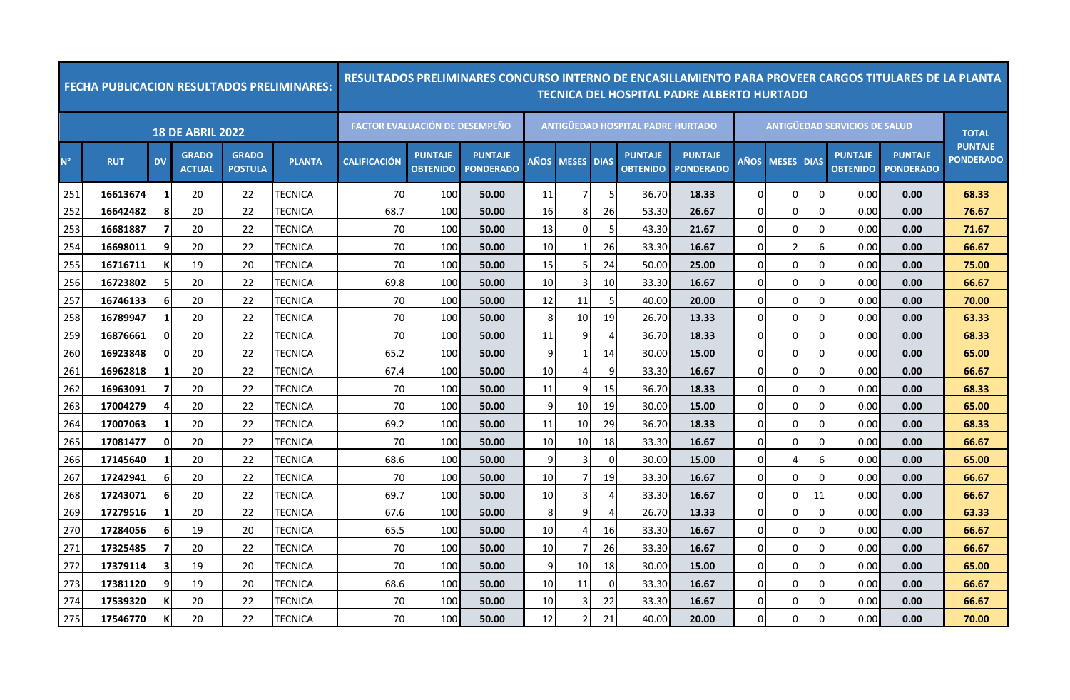|             |            |                |                               |                                | <b>FECHA PUBLICACION RESULTADOS PRELIMINARES:</b> |                                       |                                   |                                    |    |                 |          |                                   | <u>RESULTADOS PRELIMINARES CONCURSO INTERNO DE ENCASILLAMIENTO PARA PROVEER CARGOS TITULARES DE LA PLANTA</u><br>TECNICA DEL HOSPITAL PADRE ALBERTO HURTADO |                |                        |             |                                      |                                    |                                    |
|-------------|------------|----------------|-------------------------------|--------------------------------|---------------------------------------------------|---------------------------------------|-----------------------------------|------------------------------------|----|-----------------|----------|-----------------------------------|-------------------------------------------------------------------------------------------------------------------------------------------------------------|----------------|------------------------|-------------|--------------------------------------|------------------------------------|------------------------------------|
|             |            |                | <b>18 DE ABRIL 2022</b>       |                                |                                                   | <b>FACTOR EVALUACIÓN DE DESEMPEÑO</b> |                                   |                                    |    |                 |          | ANTIGÜEDAD HOSPITAL PADRE HURTADO |                                                                                                                                                             |                |                        |             | <b>ANTIGÜEDAD SERVICIOS DE SALUD</b> |                                    | <b>TOTAL</b>                       |
| $N^{\circ}$ | <b>RUT</b> | <b>DV</b>      | <b>GRADO</b><br><b>ACTUAL</b> | <b>GRADO</b><br><b>POSTULA</b> | <b>PLANTA</b>                                     | <b>CALIFICACIÓN</b>                   | <b>PUNTAJE</b><br><b>OBTENIDO</b> | <b>PUNTAJE</b><br><b>PONDERADO</b> |    | AÑOS MESES DIAS |          | <b>PUNTAJE</b><br><b>OBTENIDO</b> | <b>PUNTAJE</b><br><b>PONDERADO</b>                                                                                                                          |                | <b>AÑOS MESES DIAS</b> |             | <b>PUNTAJE</b><br><b>OBTENIDO</b>    | <b>PUNTAJE</b><br><b>PONDERADO</b> | <b>PUNTAJE</b><br><b>PONDERADO</b> |
| 251         | 16613674   | $\mathbf{1}$   | 20                            | 22                             | TECNICA                                           | 70                                    | 100                               | 50.00                              | 11 | 7               | 5        | 36.70                             | 18.33                                                                                                                                                       | $\Omega$       | $\Omega$               | $\Omega$    | 0.00                                 | 0.00                               | 68.33                              |
| 252         | 16642482   | 8              | 20                            | 22                             | TECNICA                                           | 68.7                                  | 100                               | 50.00                              | 16 | 8               | 26       | 53.30                             | 26.67                                                                                                                                                       | $\overline{0}$ | 0                      | $\mathbf 0$ | 0.00                                 | 0.00                               | 76.67                              |
| 253         | 16681887   | $\overline{7}$ | 20                            | 22                             | <b>TECNICA</b>                                    | 70                                    | 100                               | 50.00                              | 13 | 0               | .5       | 43.30                             | 21.67                                                                                                                                                       | $\Omega$       | U                      | $\Omega$    | 0.00                                 | 0.00                               | 71.67                              |
| 254         | 16698011   | 9              | 20                            | 22                             | TECNICA                                           | 70                                    | 100                               | 50.00                              | 10 | 1               | 26       | 33.30                             | 16.67                                                                                                                                                       | $\overline{0}$ | 2                      | 6           | 0.00                                 | 0.00                               | 66.67                              |
| 255         | 16716711   | К              | 19                            | 20                             | TECNICA                                           | 70                                    | 100                               | 50.00                              | 15 | 5               | 24       | 50.00                             | 25.00                                                                                                                                                       | $\overline{0}$ | 0                      | 0           | 0.00                                 | 0.00                               | 75.00                              |
| 256         | 16723802   | 5              | 20                            | 22                             | <b>TECNICA</b>                                    | 69.8                                  | 100                               | 50.00                              | 10 | 3               | 10       | 33.30                             | 16.67                                                                                                                                                       | $\Omega$       | $\Omega$               | 0           | 0.00                                 | 0.00                               | 66.67                              |
| 257         | 16746133   | 6              | 20                            | 22                             | TECNICA                                           | 70                                    | 100                               | 50.00                              | 12 | 11              | 5        | 40.00                             | 20.00                                                                                                                                                       | $\overline{0}$ | 0                      | $\Omega$    | 0.00                                 | 0.00                               | 70.00                              |
| 258         | 16789947   | 1              | 20                            | 22                             | <b>TECNICA</b>                                    | 70                                    | 100                               | 50.00                              | 8  | 10              | 19       | 26.70                             | 13.33                                                                                                                                                       | $\Omega$       | 0                      | $\Omega$    | 0.00                                 | 0.00                               | 63.33                              |
| 259         | 16876661   | 0              | 20                            | 22                             | <b>TECNICA</b>                                    | 70                                    | 100                               | 50.00                              | 11 | 9               | 4        | 36.70                             | 18.33                                                                                                                                                       | $\Omega$       | 0                      | 0           | 0.00                                 | 0.00                               | 68.33                              |
| 260         | 16923848   | $\mathbf{0}$   | 20                            | 22                             | TECNICA                                           | 65.2                                  | 100                               | 50.00                              | 9  | 1               | 14       | 30.00                             | 15.00                                                                                                                                                       | $\Omega$       | 0                      | 0           | 0.00                                 | 0.00                               | 65.00                              |
| 261         | 16962818   | 1              | 20                            | 22                             | <b>TECNICA</b>                                    | 67.4                                  | 100                               | 50.00                              | 10 | 4               | 9        | 33.30                             | 16.67                                                                                                                                                       | $\overline{0}$ | $\Omega$               | 0           | 0.00                                 | 0.00                               | 66.67                              |
| 262         | 16963091   |                | 20                            | 22                             | TECNICA                                           | 70                                    | 100                               | 50.00                              | 11 | 9               | 15       | 36.70                             | 18.33                                                                                                                                                       | 0              | 0                      | $\Omega$    | 0.00                                 | 0.00                               | 68.33                              |
| 263         | 17004279   | 4              | 20                            | 22                             | <b>TECNICA</b>                                    | 70                                    | 100                               | 50.00                              | 9  | 10              | 19       | 30.00                             | 15.00                                                                                                                                                       | $\overline{0}$ | 0                      | 0           | 0.00                                 | 0.00                               | 65.00                              |
| 264         | 17007063   | -1             | 20                            | 22                             | <b>TECNICA</b>                                    | 69.2                                  | 100                               | 50.00                              | 11 | 10              | 29       | 36.70                             | 18.33                                                                                                                                                       | $\overline{0}$ | 0                      | 0           | 0.00                                 | 0.00                               | 68.33                              |
| 265         | 17081477   | 0              | 20                            | 22                             | TECNICA                                           | 70                                    | 100                               | 50.00                              | 10 | 10              | 18       | 33.30                             | 16.67                                                                                                                                                       | $\overline{0}$ | 0                      | $\Omega$    | 0.00                                 | 0.00                               | 66.67                              |
| 266         | 17145640   | -1             | 20                            | 22                             | TECNICA                                           | 68.6                                  | 100                               | 50.00                              | 9  | 3               | $\Omega$ | 30.00                             | 15.00                                                                                                                                                       | $\overline{0}$ | 4                      | 6           | 0.00                                 | 0.00                               | 65.00                              |
| 267         | 17242941   | 6              | 20                            | 22                             | TECNICA                                           | 70                                    | 100                               | 50.00                              | 10 | 7               | 19       | 33.30                             | 16.67                                                                                                                                                       | $\Omega$       | 0                      | $\Omega$    | 0.00                                 | 0.00                               | 66.67                              |
| 268         | 17243071   | 6              | 20                            | 22                             | TECNICA                                           | 69.7                                  | 100                               | 50.00                              | 10 | 3               | 4        | 33.30                             | 16.67                                                                                                                                                       | $\overline{0}$ | 0                      | 11          | 0.00                                 | 0.00                               | 66.67                              |
| 269         | 17279516   | -1             | 20                            | 22                             | TECNICA                                           | 67.6                                  | 100                               | 50.00                              | 8  | 9               | 4        | 26.70                             | 13.33                                                                                                                                                       | $\Omega$       | 0                      | $\Omega$    | 0.00                                 | 0.00                               | 63.33                              |
| 270         | 17284056   | 6              | 19                            | 20                             | <b>TECNICA</b>                                    | 65.5                                  | 100                               | 50.00                              | 10 | 4               | 16       | 33.30                             | 16.67                                                                                                                                                       | $\Omega$       | 0                      | $\Omega$    | 0.00                                 | 0.00                               | 66.67                              |
| 271         | 17325485   | 7              | 20                            | 22                             | TECNICA                                           | 70                                    | 100                               | 50.00                              | 10 | 7               | 26       | 33.30                             | 16.67                                                                                                                                                       | $\overline{0}$ | 0                      | 0           | 0.00                                 | 0.00                               | 66.67                              |
| 272         | 17379114   | 3              | 19                            | 20                             | <b>TECNICA</b>                                    | 70                                    | 100                               | 50.00                              | 9  | 10              | 18       | 30.00                             | 15.00                                                                                                                                                       | $\Omega$       | $\Omega$               | $\Omega$    | 0.00                                 | 0.00                               | 65.00                              |
| 273         | 17381120   | q              | 19                            | 20                             | <b>TECNICA</b>                                    | 68.6                                  | 100                               | 50.00                              | 10 | 11              | $\Omega$ | 33.30                             | 16.67                                                                                                                                                       | $\overline{0}$ | 0                      | $\Omega$    | 0.00                                 | 0.00                               | 66.67                              |
| 274         | 17539320   |                | 20                            | 22                             | TECNICA                                           | 70                                    | 100                               | 50.00                              | 10 | 3               | 22       | 33.30                             | 16.67                                                                                                                                                       | $\Omega$       | 0                      | $\Omega$    | 0.00                                 | 0.00                               | 66.67                              |
| 275         | 17546770   | К              | 20                            | 22                             | <b>TECNICA</b>                                    | 70                                    | 100                               | 50.00                              | 12 | $\overline{2}$  | 21       | 40.00                             | 20.00                                                                                                                                                       | $\Omega$       | 0                      | $\Omega$    | 0.00                                 | 0.00                               | 70.00                              |